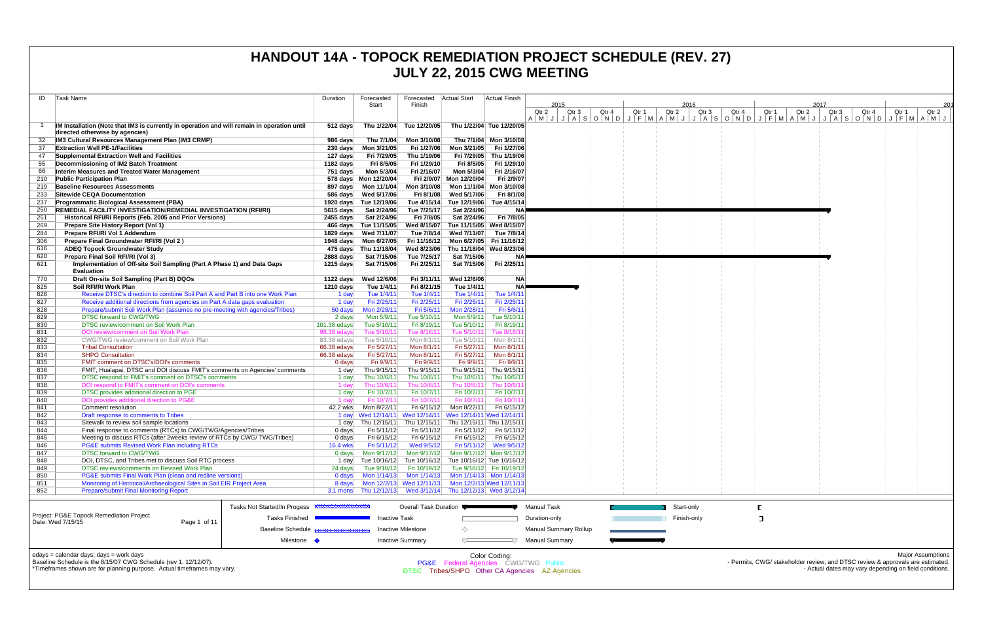| ID         | Task Name                                                                                                                      | Duration                |                                                | Forecasted Actual Start                                                      |                                       | Actual Finish             |                                                                                                               |       |             |                |                |                |                                                                                |
|------------|--------------------------------------------------------------------------------------------------------------------------------|-------------------------|------------------------------------------------|------------------------------------------------------------------------------|---------------------------------------|---------------------------|---------------------------------------------------------------------------------------------------------------|-------|-------------|----------------|----------------|----------------|--------------------------------------------------------------------------------|
|            |                                                                                                                                |                         | Forecasted<br>Start                            | Finish                                                                       |                                       |                           | 2015                                                                                                          |       | 2016        |                |                | 2017           | 201                                                                            |
|            |                                                                                                                                |                         |                                                |                                                                              |                                       |                           | Qtr <sub>3</sub><br>Qtr 4<br>Qtr 2                                                                            | Qtr 1 | Qtr 2       | Qtr 3<br>Qtr 4 | Qtr 2<br>Qtr 1 | Qtr 3<br>Qtr 4 | Qtr 2<br>Qtr 1                                                                 |
|            | IM Installation (Note that IM3 is currently in operation and will remain in operation until<br>directed otherwise by agencies) | $512$ days              |                                                | Thu 1/22/04 Tue 12/20/05                                                     |                                       | Thu 1/22/04 Tue 12/20/05  | A   M   J   J   A   S   O   N   O   J   F   M   A   M   J   J   A   S   O   N   O   V   O   J   F   M   A   M |       |             |                |                |                |                                                                                |
| 32         | IM3 Cultural Resources Management Plan (IM3 CRMP)                                                                              | 986 days                | Thu 7/1/04                                     | Mon 3/10/08                                                                  |                                       | Thu 7/1/04 Mon 3/10/08    |                                                                                                               |       |             |                |                |                |                                                                                |
| 37         | <b>Extraction Well PE-1/Facilities</b>                                                                                         |                         | 230 days    Mon 3/21/05                        | Fri 1/27/06                                                                  | Mon 3/21/05                           | Fri 1/27/06               |                                                                                                               |       |             |                |                |                |                                                                                |
| 47         | Supplemental Extraction Well and Facilities                                                                                    | 127 days                | Fri 7/29/05                                    | Thu 1/19/06                                                                  | Fri 7/29/05                           | Thu 1/19/06               |                                                                                                               |       |             |                |                |                |                                                                                |
|            | Decommissioning of IM2 Batch Treatment                                                                                         | 1182 days               | Fri 8/5/05                                     | Fri 1/29/10                                                                  | Fri 8/5/05                            | Fri 1/29/10               |                                                                                                               |       |             |                |                |                |                                                                                |
| 66         | Interim Measures and Treated Water Management                                                                                  | 751 days                | Mon 5/3/04                                     | Fri 2/16/07                                                                  | Mon 5/3/04                            | Fri 2/16/07               |                                                                                                               |       |             |                |                |                |                                                                                |
| 210        | <b>Public Participation Plan</b>                                                                                               |                         | 578 days Mon 12/20/04                          |                                                                              | Fri 2/9/07 Mon 12/20/04               | Fri 2/9/07                |                                                                                                               |       |             |                |                |                |                                                                                |
| 219        | <b>Baseline Resources Assessments</b>                                                                                          |                         | 897 days Mon 11/1/04                           | Mon 3/10/08                                                                  |                                       | Mon 11/1/04 Mon 3/10/08   |                                                                                                               |       |             |                |                |                |                                                                                |
| 233        | Sitewide CEQA Documentation                                                                                                    |                         | 586 days Wed 5/17/06                           | Fri 8/1/08                                                                   | Wed 5/17/06                           | Fri 8/1/08                |                                                                                                               |       |             |                |                |                |                                                                                |
| 237        | <b>Programmatic Biological Assessment (PBA)</b>                                                                                |                         | 1920 days Tue 12/19/06                         |                                                                              | Tue 4/15/14 Tue 12/19/06              | Tue 4/15/14               |                                                                                                               |       |             |                |                |                |                                                                                |
| 250        | <b>REMEDIAL FACILITY INVESTIGATION/REMEDIAL INVESTIGATION (RFI/RI)</b>                                                         | 5615 days               | Sat 2/24/96                                    | Tue 7/25/17                                                                  | Sat 2/24/96                           |                           |                                                                                                               |       |             |                |                |                |                                                                                |
| 251        | Historical RFI/RI Reports (Feb. 2005 and Prior Versions)                                                                       | 2455 days               | Sat 2/24/96                                    | Fri 7/8/05                                                                   | Sat 2/24/96<br>Tue 11/15/05           | Fri 7/8/05<br>Wed 8/15/07 |                                                                                                               |       |             |                |                |                |                                                                                |
| 269<br>284 | Prepare Site History Report (Vol 1)<br>Prepare RFI/RI Vol 1 Addendum                                                           |                         | 466 days Tue 11/15/05<br>1829 days Wed 7/11/07 | Wed 8/15/07                                                                  |                                       | Tue 7/8/14                |                                                                                                               |       |             |                |                |                |                                                                                |
| 306        | Prepare Final Groundwater RFI/RI (Vol 2)                                                                                       |                         | 1948 days    Mon 6/27/05                       |                                                                              | Fri 11/16/12 Mon 6/27/05 Fri 11/16/12 |                           |                                                                                                               |       |             |                |                |                |                                                                                |
| 616        | <b>ADEQ Topock Groundwater Study</b>                                                                                           |                         | 475 days Thu 11/18/04                          | Wed 8/23/06                                                                  | Thu 11/18/04 Wed 8/23/06              |                           |                                                                                                               |       |             |                |                |                |                                                                                |
| 620        | Prepare Final Soil RFI/RI (Vol 3)                                                                                              | 2888 days               | Sat 7/15/06                                    | Tue 7/25/17                                                                  | Sat 7/15/06                           | <b>NA</b>                 |                                                                                                               |       |             |                |                |                |                                                                                |
| 621        | Implementation of Off-site Soil Sampling (Part A Phase 1) and Data Gaps                                                        | 1215 days               | Sat 7/15/06                                    | Fri 2/25/11                                                                  | Sat 7/15/06                           | Fri 2/25/11               |                                                                                                               |       |             |                |                |                |                                                                                |
|            | <b>Evaluation</b>                                                                                                              |                         |                                                |                                                                              |                                       |                           |                                                                                                               |       |             |                |                |                |                                                                                |
| 770        | Draft On-site Soil Sampling (Part B) DQOs                                                                                      |                         | 1122 days Wed 12/6/06                          | Fri 3/11/11                                                                  | Wed 12/6/06                           | <b>NA</b>                 |                                                                                                               |       |             |                |                |                |                                                                                |
| 825        | Soil RFI/RI Work Plan                                                                                                          | 1210 days               | Tue 1/4/11                                     | Fri 8/21/15                                                                  | Tue 1/4/11                            | <b>NA</b>                 |                                                                                                               |       |             |                |                |                |                                                                                |
| 826        | Receive DTSC's direction to combine Soil Part A and Part B into one Work Plan                                                  | 1 day                   | Tue 1/4/11                                     | Tue 1/4/11                                                                   | Tue 1/4/11                            | Tue 1/4/11                |                                                                                                               |       |             |                |                |                |                                                                                |
| 827        | Receive additional directions from agencies on Part A data gaps evaluation                                                     | 1 day                   | Fri 2/25/11                                    | Fri 2/25/11                                                                  | Fri 2/25/11                           | Fri 2/25/1                |                                                                                                               |       |             |                |                |                |                                                                                |
| 828        | Prepare/submit Soil Work Plan (assumes no pre-meeting with agencies/Tribes)                                                    | 50 days                 | Mon 2/28/11                                    | Fri 5/6/11                                                                   | Mon 2/28/11                           | Fri 5/6/1                 |                                                                                                               |       |             |                |                |                |                                                                                |
| 829        | <b>DTSC forward to CWG/TWG</b>                                                                                                 | 2 days                  | Mon 5/9/11                                     | Tue 5/10/11                                                                  | Mon 5/9/11                            | Tue 5/10/1                |                                                                                                               |       |             |                |                |                |                                                                                |
| 830        | DTSC review/comment on Soil Work Plan                                                                                          | $101.38$ edays          | Tue 5/10/11                                    | Fri 8/19/11                                                                  | Tue 5/10/11                           | Fri 8/19/1                |                                                                                                               |       |             |                |                |                |                                                                                |
| 831        | DOI review/comment on Soil Work Plan                                                                                           | 98.38 edays             | Tue 5/10/11                                    | Tue 8/16/11                                                                  | Tue 5/10/11                           | Tue 8/16/1                |                                                                                                               |       |             |                |                |                |                                                                                |
| 832        | CWG/TWG review/comment on Soil Work Plan                                                                                       | 83.38 edays             | Tue 5/10/11                                    | Mon 8/1/11                                                                   | Tue 5/10/11                           | Mon 8/1/1                 |                                                                                                               |       |             |                |                |                |                                                                                |
| 833<br>834 | <b>Tribal Consultation</b><br><b>SHPO Consultation</b>                                                                         | 66.38 edays             | Fri 5/27/11<br>Fri 5/27/11                     | Mon 8/1/11<br>Mon 8/1/11                                                     | Fri 5/27/11<br>Fri 5/27/11            | Mon $8/1/1$<br>Mon 8/1/11 |                                                                                                               |       |             |                |                |                |                                                                                |
| 835        | FMIT comment on DTSC's/DOI's comments                                                                                          | $66.38$ edays<br>0 days | Fri 9/9/11                                     | Fri 9/9/11                                                                   | Fri 9/9/11                            | Fri 9/9/1                 |                                                                                                               |       |             |                |                |                |                                                                                |
| 836        | FMIT, Hualapai, DTSC and DOI discuss FMIT's comments on Agencies' comments                                                     | 1 day                   | Thu 9/15/11                                    | Thu 9/15/11                                                                  | Thu 9/15/11                           | Thu 9/15/1                |                                                                                                               |       |             |                |                |                |                                                                                |
| 837        | DTSC respond to FMIT's comment on DTSC's comments                                                                              | 1 day                   | Thu 10/6/11                                    | Thu 10/6/11                                                                  |                                       | Thu 10/6/11 Thu 10/6/1    |                                                                                                               |       |             |                |                |                |                                                                                |
| 838        | DOI respond to FMIT's comment on DOI's comments                                                                                | 1 day                   | Thu 10/6/11                                    | Thu 10/6/11                                                                  | Thu 10/6/11                           | Thu 10/6/1                |                                                                                                               |       |             |                |                |                |                                                                                |
| 839        | DTSC provides additional direction to PGE                                                                                      | 1 day                   | Fri 10/7/11                                    | Fri 10/7/11                                                                  | Fri 10/7/11                           | Fri 10/7/11               |                                                                                                               |       |             |                |                |                |                                                                                |
| 840        | DOI provides additional direction to PG&E                                                                                      | 1 dav                   | Fri 10/7/11                                    | Fri 10/7/11                                                                  | Fri 10/7/11                           | Fri 10/7/1                |                                                                                                               |       |             |                |                |                |                                                                                |
| 841        | Comment resolution                                                                                                             | 42.2 wks                | Mon 8/22/11                                    | Fri 6/15/12                                                                  | Mon 8/22/11                           | Fri 6/15/12               |                                                                                                               |       |             |                |                |                |                                                                                |
| 842        | Draft response to comments to Tribes                                                                                           |                         |                                                | 1 day Wed 12/14/11 Wed 12/14/11 Wed 12/14/11 Wed 12/14/11                    |                                       |                           |                                                                                                               |       |             |                |                |                |                                                                                |
| 843        | Sitewalk to review soil sample locations                                                                                       | 1 day                   | Thu 12/15/11                                   | Thu 12/15/11                                                                 | Thu 12/15/11 Thu 12/15/11             |                           |                                                                                                               |       |             |                |                |                |                                                                                |
| 844        | Final response to comments (RTCs) to CWG/TWG/Agencies/Tribes                                                                   | $0$ days                | Fri 5/11/12                                    | Fri 5/11/12                                                                  |                                       | Fri 5/11/12 Fri 5/11/12   |                                                                                                               |       |             |                |                |                |                                                                                |
| 845        | Meeting to discuss RTCs (after 2weeks review of RTCs by CWG/TWG/Tribes)                                                        | $0$ days                | Fri 6/15/12                                    | Fri 6/15/12                                                                  |                                       | Fri 6/15/12   Fri 6/15/12 |                                                                                                               |       |             |                |                |                |                                                                                |
| 846<br>847 | PG&E submits Revised Work Plan including RTCs<br><b>DTSC forward to CWG/TWG</b>                                                | <b>16.4 wks</b>         | Fri 5/11/12                                    | Wed 9/5/12<br>0 days   Mon 9/17/12   Mon 9/17/12   Mon 9/17/12   Mon 9/17/12 |                                       | Fri 5/11/12 Wed 9/5/12    |                                                                                                               |       |             |                |                |                |                                                                                |
| 848        | DOI, DTSC, and Tribes met to discuss Soil RTC process                                                                          |                         |                                                | 1 day Tue 10/16/12 Tue 10/16/12 Tue 10/16/12 Tue 10/16/12                    |                                       |                           |                                                                                                               |       |             |                |                |                |                                                                                |
| 849        | DTSC reviews/comments on Revised Work Plan                                                                                     | 24 days                 |                                                | Tue 9/18/12   Fri 10/19/12   Tue 9/18/12   Fri 10/19/12                      |                                       |                           |                                                                                                               |       |             |                |                |                |                                                                                |
| 850        | PG&E submits Final Work Plan (clean and redline versions)                                                                      | 0 days                  |                                                | Mon 1/14/13    Mon 1/14/13    Mon 1/14/13    Mon 1/14/13                     |                                       |                           |                                                                                                               |       |             |                |                |                |                                                                                |
| 851        | Monitoring of Historical/Archaeological Sites in Soil EIR Project Area                                                         |                         |                                                | 8 days Mon 12/2/13 Wed 12/11/13 Mon 12/2/13 Wed 12/11/13                     |                                       |                           |                                                                                                               |       |             |                |                |                |                                                                                |
| 852        | <b>Prepare/submit Final Monitoring Report</b>                                                                                  |                         |                                                | 3.1 mons Thu 12/12/13 Wed 3/12/14 Thu 12/12/13 Wed 3/12/14                   |                                       |                           |                                                                                                               |       |             |                |                |                |                                                                                |
|            |                                                                                                                                |                         |                                                |                                                                              |                                       |                           |                                                                                                               |       |             |                |                |                |                                                                                |
|            | Tasks Not Started/In Progess<br>Project: PG&E Topock Remediation Project                                                       |                         |                                                | Overall Task Duration ●                                                      |                                       |                           | <b>Manual Task</b>                                                                                            |       | Start-only  |                |                |                |                                                                                |
|            | <b>Tasks Finished</b><br>Date: Wed 7/15/15<br>Page 1 of 11                                                                     |                         | <b>Inactive Task</b>                           |                                                                              |                                       |                           | Duration-only                                                                                                 |       | Finish-only |                | ा              |                |                                                                                |
|            | <b>Baseline Schedule</b>                                                                                                       |                         |                                                | <b>Inactive Milestone</b>                                                    | ◇                                     |                           | <b>Manual Summary Rollup</b>                                                                                  |       |             |                |                |                |                                                                                |
|            | Milestone •                                                                                                                    |                         |                                                | <b>Inactive Summary</b>                                                      | $\overline{ }$                        |                           | <b>Manual Summary</b>                                                                                         |       |             |                |                |                |                                                                                |
|            | edays = calendar days; days = work days                                                                                        |                         |                                                |                                                                              |                                       | Color Coding:             |                                                                                                               |       |             |                |                |                | <b>Major Assumptions</b>                                                       |
|            | Baseline Schedule is the 8/15/07 CWG Schedule (rev 1, 12/12/07).                                                               |                         |                                                |                                                                              | PG&E Federal Agencies CWG/TWG Public  |                           |                                                                                                               |       |             |                |                |                | - Permits, CWG/ stakeholder review, and DTSC review & approvals are estimated. |
|            | *Timeframes shown are for planning purpose. Actual timeframes may vary.                                                        |                         |                                                |                                                                              |                                       |                           | DTSC Tribes/SHPO Other CA Agencies AZ Agencies                                                                |       |             |                |                |                | - Actual dates may vary depending on field conditions.                         |
|            |                                                                                                                                |                         |                                                |                                                                              |                                       |                           |                                                                                                               |       |             |                |                |                |                                                                                |
|            |                                                                                                                                |                         |                                                |                                                                              |                                       |                           |                                                                                                               |       |             |                |                |                |                                                                                |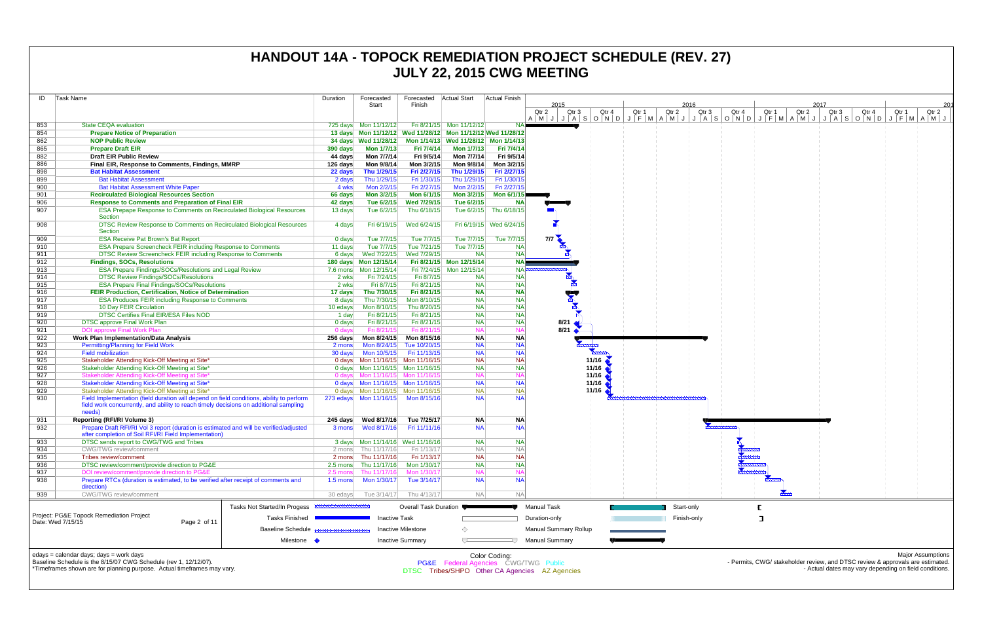| ID         | Task Name                                                                                                                                                                              | Duration                        | Forecasted<br>Start                                                        | Forecasted   Actual Start<br>Finish |                                                                 | Actual Finish           | 2015                                           |                                          |       |             | 2016  |                                                                                |       | 2017  |                                                        |       | 201                      |
|------------|----------------------------------------------------------------------------------------------------------------------------------------------------------------------------------------|---------------------------------|----------------------------------------------------------------------------|-------------------------------------|-----------------------------------------------------------------|-------------------------|------------------------------------------------|------------------------------------------|-------|-------------|-------|--------------------------------------------------------------------------------|-------|-------|--------------------------------------------------------|-------|--------------------------|
|            |                                                                                                                                                                                        |                                 |                                                                            |                                     |                                                                 |                         | Qtr 2<br>Qtr 3                                 | Qtr 4                                    | Qtr 1 | Qtr 2       | Qtr 3 | Qtr 4<br>Qtr 1                                                                 | Qtr 2 | Qtr 3 | Qtr 4                                                  | Qtr 1 | Qtr 2                    |
| 853        | <b>State CEQA evaluation</b>                                                                                                                                                           |                                 | 725 days Mon 11/12/12                                                      |                                     | Fri 8/21/15 Mon 11/12/12                                        |                         |                                                |                                          |       |             |       |                                                                                |       |       |                                                        |       |                          |
| 854        | <b>Prepare Notice of Preparation</b>                                                                                                                                                   |                                 |                                                                            |                                     | 13 days  Mon 11/12/12  Wed 11/28/12  Mon 11/12/12  Wed 11/28/12 |                         |                                                |                                          |       |             |       |                                                                                |       |       |                                                        |       |                          |
| 862        | <b>NOP Public Review</b>                                                                                                                                                               |                                 | 34 days Wed 11/28/12                                                       |                                     | Mon 1/14/13 Wed 11/28/12 Mon 1/14/13                            |                         |                                                |                                          |       |             |       |                                                                                |       |       |                                                        |       |                          |
| 865        | <b>Prepare Draft EIR</b>                                                                                                                                                               | 390 days                        | <b>Mon 1/7/13</b>                                                          | Fri 7/4/14                          | <b>Mon 1/7/13</b>                                               | Fri 7/4/14              |                                                |                                          |       |             |       |                                                                                |       |       |                                                        |       |                          |
| 882        | <b>Draft EIR Public Review</b>                                                                                                                                                         | 44 days                         | Mon 7/7/14                                                                 | Fri 9/5/14                          | Mon 7/7/14                                                      | Fri 9/5/14              |                                                |                                          |       |             |       |                                                                                |       |       |                                                        |       |                          |
| 886        | Final EIR, Response to Comments, Findings, MMRP                                                                                                                                        | 126 days                        | Mon 9/8/14                                                                 | Mon 3/2/15                          | Mon 9/8/14                                                      | Mon 3/2/15              |                                                |                                          |       |             |       |                                                                                |       |       |                                                        |       |                          |
| 898        | <b>Bat Habitat Assessment</b>                                                                                                                                                          | 22 days                         | Thu 1/29/15                                                                | Fri 2/27/15                         | Thu 1/29/15                                                     | Fri 2/27/15             |                                                |                                          |       |             |       |                                                                                |       |       |                                                        |       |                          |
| 899        | <b>Bat Habitat Assessment</b>                                                                                                                                                          | 2 days                          | Thu 1/29/15                                                                | Fri 1/30/15                         | Thu 1/29/15                                                     | Fri 1/30/15             |                                                |                                          |       |             |       |                                                                                |       |       |                                                        |       |                          |
| 900        | <b>Bat Habitat Assessment White Paper</b>                                                                                                                                              | 4 wks                           | Mon 2/2/15                                                                 | Fri 2/27/15                         | Mon 2/2/15                                                      | Fri 2/27/15             |                                                |                                          |       |             |       |                                                                                |       |       |                                                        |       |                          |
| 901        | <b>Recirculated Biological Resources Section</b>                                                                                                                                       | 66 days                         | Mon 3/2/15                                                                 | Mon 6/1/15                          | Mon 3/2/15                                                      | Mon 6/1/15              |                                                |                                          |       |             |       |                                                                                |       |       |                                                        |       |                          |
| 906        | <b>Response to Comments and Preparation of Final EIR</b>                                                                                                                               | 42 days                         | Tue 6/2/15                                                                 | Wed 7/29/15                         | Tue 6/2/15                                                      | <b>NA</b>               |                                                |                                          |       |             |       |                                                                                |       |       |                                                        |       |                          |
| 907        | ESA Prepape Response to Comments on Recirculated Biological Resources                                                                                                                  | 13 days                         | Tue 6/2/15                                                                 | Thu 6/18/15                         |                                                                 | Tue 6/2/15 Thu 6/18/15  |                                                |                                          |       |             |       |                                                                                |       |       |                                                        |       |                          |
|            | Section                                                                                                                                                                                |                                 |                                                                            |                                     |                                                                 |                         |                                                |                                          |       |             |       |                                                                                |       |       |                                                        |       |                          |
| 908        | DTSC Review Response to Comments on Recirculated Biological Resources<br>Section                                                                                                       | 4 days                          | Fri 6/19/15                                                                | Wed 6/24/15                         |                                                                 | Fri 6/19/15 Wed 6/24/15 |                                                |                                          |       |             |       |                                                                                |       |       |                                                        |       |                          |
| 909        | <b>ESA Receive Pat Brown's Bat Report</b>                                                                                                                                              | 0 days                          | Tue 7/7/15                                                                 | Tue 7/7/15                          | Tue 7/7/15                                                      | Tue 7/7/15              | 7/7                                            |                                          |       |             |       |                                                                                |       |       |                                                        |       |                          |
| 910        | <b>ESA Prepare Screencheck FEIR including Response to Comments</b>                                                                                                                     | 11 days                         | Tue 7/7/15                                                                 | Tue 7/21/15                         | Tue 7/7/15                                                      | <b>NA</b>               |                                                |                                          |       |             |       |                                                                                |       |       |                                                        |       |                          |
| 911        | DTSC Review Screencheck FEIR including Response to Comments                                                                                                                            |                                 | 6 days Wed 7/22/15                                                         | Wed 7/29/15                         | <b>NA</b>                                                       | <b>NA</b>               |                                                |                                          |       |             |       |                                                                                |       |       |                                                        |       |                          |
| 912        | <b>Findings, SOCs, Resolutions</b>                                                                                                                                                     |                                 |                                                                            |                                     | Fri 8/21/15 Mon 12/15/14                                        | <b>NA</b>               |                                                |                                          |       |             |       |                                                                                |       |       |                                                        |       |                          |
| 913        | <b>ESA Prepare Findings/SOCs/Resolutions and Legal Review</b>                                                                                                                          |                                 |                                                                            |                                     | Fri 7/24/15 Mon 12/15/14                                        | <b>NA</b>               |                                                |                                          |       |             |       |                                                                                |       |       |                                                        |       |                          |
| 914        | <b>DTSC Review Findings/SOCs/Resolutions</b>                                                                                                                                           | 2 wks                           | Fri 7/24/15                                                                | Fri 8/7/15                          | <b>NA</b>                                                       | <b>NA</b>               |                                                |                                          |       |             |       |                                                                                |       |       |                                                        |       |                          |
| 915        | <b>ESA Prepare Final Findings/SOCs/Resolutions</b>                                                                                                                                     | 2 wks                           | Fri 8/7/15                                                                 | Fri 8/21/15                         | <b>NA</b>                                                       | <b>NA</b>               |                                                |                                          |       |             |       |                                                                                |       |       |                                                        |       |                          |
| 916        | FEIR Production, Certification, Notice of Determination                                                                                                                                | 17 days                         | Thu 7/30/15                                                                | Fri 8/21/15                         | <b>NA</b>                                                       | <b>NA</b>               | للجاب                                          |                                          |       |             |       |                                                                                |       |       |                                                        |       |                          |
| 917        | <b>ESA Produces FEIR including Response to Comments</b>                                                                                                                                | 8 days                          | Thu 7/30/15                                                                | Mon 8/10/15                         | <b>NA</b>                                                       | <b>NA</b>               |                                                |                                          |       |             |       |                                                                                |       |       |                                                        |       |                          |
| 918        | 10 Day FEIR Circulation                                                                                                                                                                | 10 edays                        | Mon 8/10/15                                                                | Thu 8/20/15                         | <b>NA</b>                                                       | <b>NA</b>               |                                                |                                          |       |             |       |                                                                                |       |       |                                                        |       |                          |
| 919        | <b>DTSC Certifies Final EIR/ESA Files NOD</b>                                                                                                                                          | 1 day                           | Fri 8/21/15                                                                | Fri 8/21/15                         | <b>NA</b>                                                       | <b>NA</b>               |                                                |                                          |       |             |       |                                                                                |       |       |                                                        |       |                          |
| 920        | <b>DTSC approve Final Work Plan</b>                                                                                                                                                    | $0$ days                        | Fri 8/21/15                                                                | Fri 8/21/15                         | <b>NA</b>                                                       | <b>NA</b>               | 8/21                                           |                                          |       |             |       |                                                                                |       |       |                                                        |       |                          |
| 921        | <b>DOI approve Final Work Plan</b>                                                                                                                                                     | 0 days                          | Fri 8/21/15                                                                | Fri 8/21/15                         | <b>NA</b>                                                       |                         | 8/21                                           |                                          |       |             |       |                                                                                |       |       |                                                        |       |                          |
| 922        | Work Plan Implementation/Data Analysis                                                                                                                                                 |                                 | 256 days    Mon 8/24/15                                                    | Mon 8/15/16                         | <b>NA</b>                                                       | <b>NA</b>               |                                                |                                          |       |             |       |                                                                                |       |       |                                                        |       |                          |
| 923        | <b>Permitting/Planning for Field Work</b>                                                                                                                                              | 2 mons                          |                                                                            | Mon 8/24/15 Tue 10/20/15            | <b>NA</b>                                                       | <b>NA</b>               |                                                |                                          |       |             |       |                                                                                |       |       |                                                        |       |                          |
| 924        | <b>Field mobilization</b>                                                                                                                                                              | 30 days                         | Mon 10/5/15                                                                | Fri 11/13/15                        | <b>NA</b>                                                       | <b>NA</b>               |                                                |                                          |       |             |       |                                                                                |       |       |                                                        |       |                          |
| 925        | Stakeholder Attending Kick-Off Meeting at Site*                                                                                                                                        |                                 | 0 days    Mon 11/16/15    Mon 11/16/15                                     |                                     | <b>NA</b>                                                       | <b>NA</b>               |                                                | 11/16                                    |       |             |       |                                                                                |       |       |                                                        |       |                          |
| 926        | Stakeholder Attending Kick-Off Meeting at Site*                                                                                                                                        |                                 | 0 days Mon 11/16/15 Mon 11/16/15                                           |                                     | <b>NA</b><br><b>NA</b>                                          | <b>NA</b>               |                                                | 11/16                                    |       |             |       |                                                                                |       |       |                                                        |       |                          |
| 927        | Stakeholder Attending Kick-Off Meeting at Site'<br>Stakeholder Attending Kick-Off Meeting at Site*                                                                                     |                                 | 0 days Mon 11/16/15 Mon 11/16/15<br>0 days    Mon 11/16/15    Mon 11/16/15 |                                     | <b>NA</b>                                                       | <b>NA</b>               |                                                | $11/16$ $\bullet$<br>$11/16$ $\triangle$ |       |             |       |                                                                                |       |       |                                                        |       |                          |
| 928<br>929 | Stakeholder Attending Kick-Off Meeting at Site*                                                                                                                                        |                                 | 0 days   Mon 11/16/15   Mon 11/16/15                                       |                                     | <b>NA</b>                                                       | <b>NA</b>               |                                                | $11/16$ $\triangle$                      |       |             |       |                                                                                |       |       |                                                        |       |                          |
| 930        | Field Implementation (field duration will depend on field conditions, ability to perform                                                                                               |                                 | 273 edays Mon 11/16/15 Mon 8/15/16                                         |                                     | <b>NA</b>                                                       | <b>NA</b>               |                                                |                                          |       |             |       |                                                                                |       |       |                                                        |       |                          |
|            | field work concurrently, and ability to reach timely decisions on additional sampling<br>needs)                                                                                        |                                 |                                                                            |                                     |                                                                 |                         |                                                |                                          |       |             |       |                                                                                |       |       |                                                        |       |                          |
| 931        | <b>Reporting (RFI/RI Volume 3)</b>                                                                                                                                                     |                                 | 245 days Wed 8/17/16                                                       | Tue 7/25/17                         | NA                                                              | <b>NA</b>               |                                                |                                          |       |             |       |                                                                                |       |       |                                                        |       |                          |
| 932        | Prepare Draft RFI/RI Vol 3 report (duration is estimated and will be verified/adjusted                                                                                                 |                                 | 3 mons Wed 8/17/16                                                         | Fri 11/11/16                        | <b>NA</b>                                                       | <b>NA</b>               |                                                |                                          |       |             |       |                                                                                |       |       |                                                        |       |                          |
|            | after completion of Soil RFI/RI Field Implementation)                                                                                                                                  |                                 |                                                                            |                                     |                                                                 |                         |                                                |                                          |       |             |       |                                                                                |       |       |                                                        |       |                          |
| 933        | DTSC sends report to CWG/TWG and Tribes                                                                                                                                                |                                 | 3 days Mon 11/14/16 Wed 11/16/16                                           |                                     | <b>NA</b>                                                       | <b>NA</b>               |                                                |                                          |       |             |       |                                                                                |       |       |                                                        |       |                          |
| 934        | <b>CWG/TWG review/comment</b>                                                                                                                                                          |                                 | 2 mons Thu 11/17/16 Fri 1/13/17                                            |                                     | <b>NA</b>                                                       | <b>NA</b>               |                                                |                                          |       |             |       |                                                                                |       |       |                                                        |       |                          |
| 935        | Tribes review/comment                                                                                                                                                                  |                                 | 2 mons Thu 11/17/16                                                        | Fri 1/13/17                         | <b>NA</b>                                                       | <b>NA</b>               |                                                |                                          |       |             |       |                                                                                |       |       |                                                        |       |                          |
| 936        | DTSC review/comment/provide direction to PG&E                                                                                                                                          |                                 | 2.5 mons Thu 11/17/16                                                      | Mon 1/30/17                         | <b>NA</b>                                                       | <b>NA</b>               |                                                |                                          |       |             |       |                                                                                |       |       |                                                        |       |                          |
| 937<br>938 | DOI review/comment/provide direction to PG&E<br>Prepare RTCs (duration is estimated, to be verified after receipt of comments and                                                      | $2.5$ mons<br>$1.5 \text{ mon}$ | Thu 11/17/16<br>Mon 1/30/17                                                | Mon 1/30/17<br>Tue 3/14/17          | <b>NA</b><br><b>NA</b>                                          | <b>NA</b>               |                                                |                                          |       |             |       |                                                                                |       |       |                                                        |       |                          |
|            | direction)                                                                                                                                                                             |                                 |                                                                            |                                     |                                                                 |                         |                                                |                                          |       |             |       |                                                                                |       |       |                                                        |       |                          |
| 939        | CWG/TWG review/comment                                                                                                                                                                 |                                 | 30 edays Tue 3/14/17                                                       | Thu 4/13/17                         | <b>NA</b>                                                       | <b>NA</b>               |                                                |                                          |       |             |       |                                                                                |       |       |                                                        |       |                          |
|            | Tasks Not Started/In Progess                                                                                                                                                           |                                 |                                                                            | Overall Task Duration               |                                                                 |                         | <b>Manual Task</b>                             |                                          |       | Start-only  |       |                                                                                |       |       |                                                        |       |                          |
|            | Project: PG&E Topock Remediation Project<br>Tasks Finished<br>Date: Wed 7/15/15<br>Page 2 of 11                                                                                        |                                 | <b>Inactive Task</b>                                                       |                                     |                                                                 |                         | Duration-only                                  |                                          |       | Finish-only |       |                                                                                |       |       |                                                        |       |                          |
|            | <b>Baseline Schedule</b>                                                                                                                                                               |                                 |                                                                            | <b>Inactive Milestone</b>           | ◇                                                               |                         | <b>Manual Summary Rollup</b>                   |                                          |       |             |       |                                                                                |       |       |                                                        |       |                          |
|            | Milestone                                                                                                                                                                              |                                 |                                                                            | <b>Inactive Summary</b>             | $\overline{ }$                                                  |                         | <b>Manual Summary</b>                          |                                          |       |             |       |                                                                                |       |       |                                                        |       |                          |
|            | edays = calendar days; days = work days<br>Baseline Schedule is the 8/15/07 CWG Schedule (rev 1, 12/12/07).<br>*Timeframes shown are for planning purpose. Actual timeframes may vary. |                                 |                                                                            |                                     | <b>PG&amp;E</b> Federal Agencies CWG/TWG Public                 | Color Coding:           | DTSC Tribes/SHPO Other CA Agencies AZ Agencies |                                          |       |             |       | - Permits, CWG/ stakeholder review, and DTSC review & approvals are estimated. |       |       | - Actual dates may vary depending on field conditions. |       | <b>Major Assumptions</b> |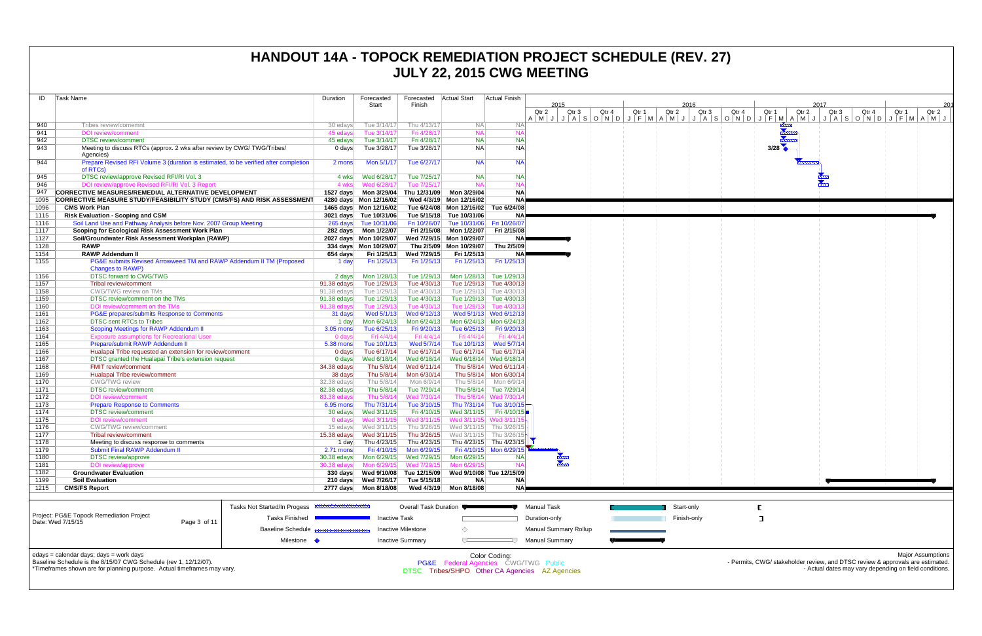| ID           | Task Name                                                                                    |                              | Duration               | Forecasted                 | Forecasted                   | Actual Start               | <b>Actual Finish</b>                   |                                     |       |       |                         |                   |
|--------------|----------------------------------------------------------------------------------------------|------------------------------|------------------------|----------------------------|------------------------------|----------------------------|----------------------------------------|-------------------------------------|-------|-------|-------------------------|-------------------|
|              |                                                                                              |                              |                        | Start                      | Finish                       |                            |                                        | 2015<br>Qtr 2<br>Qtr 3              | Qtr 4 | Qtr 1 | Qtr 2                   | 2016<br>Qtr 3     |
|              |                                                                                              |                              |                        |                            |                              |                            |                                        | $A$ $M$ $J$ $J$ $A$ $S$ $O$ $N$ $D$ |       |       | $J$ $F$ $M$ $A$ $M$ $J$ | $J \mid A \mid S$ |
| 940          | Tribes review/comemnt                                                                        |                              | 30 edays               | Tue 3/14/17                | Thu 4/13/17                  | <b>NA</b>                  | <b>NA</b>                              |                                     |       |       |                         |                   |
| 941          | <b>DOI</b> review/comment                                                                    |                              | 45 edays               | Tue 3/14/17                | Fri 4/28/17                  | <b>NA</b>                  | <b>NA</b>                              |                                     |       |       |                         |                   |
| 942          | <b>DTSC</b> review/comment                                                                   |                              | 45 edays               | Tue 3/14/17                | Fri 4/28/17                  | <b>NA</b>                  | <b>NA</b>                              |                                     |       |       |                         |                   |
| 943          | Meeting to discuss RTCs (approx. 2 wks after review by CWG/TWG/Tribes/                       |                              | $0$ days               | Tue 3/28/17                | Tue 3/28/17                  | <b>NA</b>                  | <b>NA</b>                              |                                     |       |       |                         |                   |
|              | Agencies)                                                                                    |                              |                        |                            |                              |                            |                                        |                                     |       |       |                         |                   |
| 944          | Prepare Revised RFI Volume 3 (duration is estimated, to be verified after completion         |                              | 2 mons                 | Mon 5/1/17                 | Tue 6/27/17                  | <b>NA</b>                  | NA                                     |                                     |       |       |                         |                   |
|              | of RTCs)                                                                                     |                              |                        |                            |                              |                            |                                        |                                     |       |       |                         |                   |
| 945<br>946   | DTSC review/approve Revised RFI/RI Vol. 3<br>DOI review/approve Revised RFI/RI Vol. 3 Report |                              | 4 wks<br>4 wks         | Wed 6/28/17<br>Wed 6/28/17 | Tue 7/25/17                  | <b>NA</b><br><b>NA</b>     | <b>NA</b><br><b>NA</b>                 |                                     |       |       |                         |                   |
| 947          | CORRECTIVE MEASURES/REMEDIAL ALTERNATIVE DEVELOPMENT                                         |                              | 1527 days              | Mon 3/29/04                | Tue 7/25/17<br>Thu 12/31/09  | Mon 3/29/04                | <b>NA</b>                              |                                     |       |       |                         |                   |
| 1095         | <b>CORRECTIVE MEASURE STUDY/FEASIBILITY STUDY (CMS/FS) AND RISK ASSESSMENT</b>               |                              |                        | 4280 days Mon 12/16/02     |                              | Wed 4/3/19 Mon 12/16/02    | <b>NA</b>                              |                                     |       |       |                         |                   |
| 1096         | <b>CMS Work Plan</b>                                                                         |                              |                        | 1465 days Mon 12/16/02     |                              | Tue 6/24/08 Mon 12/16/02   | Tue 6/24/08                            |                                     |       |       |                         |                   |
| 1115         | <b>Risk Evaluation - Scoping and CSM</b>                                                     |                              |                        | 3021 days Tue 10/31/06     | Tue 5/15/18                  | Tue 10/31/06               | NA)                                    |                                     |       |       |                         |                   |
| 1116         | Soil Land Use and Pathway Analysis before Nov. 2007 Group Meeting                            |                              |                        | 265 days Tue 10/31/06      | Fri 10/26/07                 |                            | Tue 10/31/06   Fri 10/26/07            |                                     |       |       |                         |                   |
| 1117         | Scoping for Ecological Risk Assessment Work Plan                                             |                              | 282 days               | Mon 1/22/07                | Fri 2/15/08                  | Mon 1/22/07                | Fri 2/15/08                            |                                     |       |       |                         |                   |
| 1127         | Soil/Groundwater Risk Assessment Workplan (RAWP)                                             |                              |                        | 2027 days Mon 10/29/07     |                              | Wed 7/29/15 Mon 10/29/07   | NA)                                    |                                     |       |       |                         |                   |
| 1128         | <b>RAWP</b>                                                                                  |                              |                        | 334 days Mon 10/29/07      |                              | Thu 2/5/09 Mon 10/29/07    | Thu 2/5/09                             |                                     |       |       |                         |                   |
| 1154         | <b>RAWP Addendum II</b>                                                                      |                              | 654 days               | Fri 1/25/13                | Wed 7/29/15                  | Fri 1/25/13                | NA                                     |                                     |       |       |                         |                   |
| 1155         | PG&E submits Revised Arrowweed TM and RAWP Addendum II TM (Proposed                          |                              | 1 day                  | Fri 1/25/13                | Fri 1/25/13                  | Fri 1/25/13                | Fri 1/25/13                            |                                     |       |       |                         |                   |
|              | <b>Changes to RAWP)</b>                                                                      |                              |                        |                            |                              |                            |                                        |                                     |       |       |                         |                   |
| 1156         | DTSC forward to CWG/TWG                                                                      |                              | 2 days                 | Mon 1/28/13                | Tue 1/29/13                  | Mon 1/28/13                | Tue 1/29/13                            |                                     |       |       |                         |                   |
| 1157         | <b>Tribal review/comment</b>                                                                 |                              | 91.38 edays            | Tue 1/29/13                | Tue 4/30/13                  | Tue 1/29/13                | Tue 4/30/13                            |                                     |       |       |                         |                   |
| 1158         | CWG/TWG review on TMs                                                                        |                              | 91.38 edays            | Tue 1/29/13                | Tue 4/30/13                  |                            | Tue 1/29/13 Tue 4/30/13                |                                     |       |       |                         |                   |
| 1159<br>1160 | DTSC review/comment on the TMs                                                               |                              | 91.38 edays            | Tue 1/29/13<br>Tue 1/29/13 | Tue 4/30/13<br>Tue 4/30/13   | Tue 1/29/13<br>Tue 1/29/13 | Tue 4/30/13<br>Tue 4/30/13             |                                     |       |       |                         |                   |
| 1161         | DOI review/comment on the TMs                                                                |                              | 91.38 edays            | Wed 5/1/13                 | Wed 6/12/13                  |                            | Wed 5/1/13 Wed 6/12/13                 |                                     |       |       |                         |                   |
| 1162         | PG&E prepares/submits Response to Comments<br><b>DTSC sent RTCs to Tribes</b>                |                              | 31 days<br>1 day       | Mon 6/24/13                | Mon 6/24/13                  |                            | Mon 6/24/13 Mon 6/24/13                |                                     |       |       |                         |                   |
| 1163         | <b>Scoping Meetings for RAWP Addendum II</b>                                                 |                              | $3.05$ mons            | Tue 6/25/13                | Fri 9/20/13                  | Tue 6/25/13                | Fri 9/20/13                            |                                     |       |       |                         |                   |
| 1164         | <b>Exposure assumptions for Recreational User</b>                                            |                              | 0 days                 | Fri 4/4/14                 | Fri 4/4/14                   | Fri 4/4/14                 | Fri 4/4/14                             |                                     |       |       |                         |                   |
| 1165         | Prepare/submit RAWP Addendum II                                                              |                              | 5.38 mons              | Tue 10/1/13                | Wed 5/7/14                   | Tue 10/1/13                | Wed 5/7/14                             |                                     |       |       |                         |                   |
| 1166         | Hualapai Tribe requested an extension for review/comment                                     |                              | $0$ days               | Tue 6/17/14                | Tue 6/17/14                  | Tue 6/17/14                | Tue 6/17/14                            |                                     |       |       |                         |                   |
| 1167         | DTSC granted the Hualapai Tribe's extension request                                          |                              | $0$ days               | Wed 6/18/14                | Wed 6/18/14                  |                            | Wed 6/18/14 Wed 6/18/14                |                                     |       |       |                         |                   |
| 1168         | <b>FMIT review/comment</b>                                                                   |                              | 34.38 edays            | Thu 5/8/14                 | Wed 6/11/14                  |                            | Thu 5/8/14 Wed 6/11/14                 |                                     |       |       |                         |                   |
| 1169         | Hualapai Tribe review/comment                                                                |                              | 38 days                | Thu 5/8/14                 | Mon 6/30/14                  |                            | Thu 5/8/14 Mon 6/30/14                 |                                     |       |       |                         |                   |
| 1170         | <b>CWG/TWG</b> review                                                                        |                              | 32.38 edays            | Thu 5/8/14                 | Mon 6/9/14                   | Thu 5/8/14                 | Mon 6/9/14                             |                                     |       |       |                         |                   |
| 1171         | <b>DTSC</b> review/comment                                                                   |                              | 82.38 edays            | Thu 5/8/14                 | Tue 7/29/14                  |                            | Thu 5/8/14 Tue 7/29/14                 |                                     |       |       |                         |                   |
| 1172         | <b>DOI</b> review/comment                                                                    |                              | 83.38 edays            | Thu 5/8/14                 | Wed 7/30/14                  |                            | Thu 5/8/14 Wed 7/30/14                 |                                     |       |       |                         |                   |
| 1173         | <b>Prepare Response to Comments</b>                                                          |                              | 6.95 mons              | Thu 7/31/14                | Tue 3/10/15                  |                            | Thu 7/31/14 Tue 3/10/15                |                                     |       |       |                         |                   |
| 1174<br>1175 | <b>DTSC</b> review/comment<br><b>DOI</b> review/comment                                      |                              | 30 edays               | Wed 3/11/15<br>Wed 3/11/15 | Fri 4/10/15<br>Wed 3/11/15   | Wed 3/11/15                | Fri 4/10/15<br>Wed 3/11/15 Wed 3/11/15 |                                     |       |       |                         |                   |
| 1176         | <b>CWG/TWG</b> review/comment                                                                |                              | 0 edays<br>15 edays    | Wed 3/11/15                | Thu 3/26/15                  | Wed 3/11/15                | Thu 3/26/15                            |                                     |       |       |                         |                   |
| 1177         | Tribal review/comment                                                                        |                              | $15.38$ edays          | Wed 3/11/15                | Thu 3/26/15                  |                            | Wed 3/11/15 Thu 3/26/15                |                                     |       |       |                         |                   |
| 1178         | Meeting to discuss response to comments                                                      |                              | 1 day                  | Thu 4/23/15                | Thu 4/23/15                  |                            | Thu 4/23/15 Thu 4/23/15                |                                     |       |       |                         |                   |
| 1179         | Submit Final RAWP Addendum II                                                                |                              | $2.71$ mons            | Fri 4/10/15                | Mon 6/29/15                  |                            | Fri 4/10/15 Mon 6/29/15                |                                     |       |       |                         |                   |
| 1180         | <b>DTSC</b> review/approve                                                                   |                              | 30.38 edays            | Mon 6/29/15                | Wed 7/29/15                  | Mon 6/29/15                | NA                                     |                                     |       |       |                         |                   |
| 1181         | <b>DOI</b> review/approve                                                                    |                              | 30.38 edays            | Mon 6/29/15                | Wed 7/29/15                  | Mon 6/29/15                | <b>NA</b>                              |                                     |       |       |                         |                   |
| 1182         | <b>Groundwater Evaluation</b>                                                                |                              | $330$ days             | Wed 9/10/08                | Tue 12/15/09                 |                            | Wed 9/10/08 Tue 12/15/09               |                                     |       |       |                         |                   |
| 1199         | <b>Soil Evaluation</b>                                                                       |                              | 210 days               | Wed 7/26/17                | Tue 5/15/18                  | <b>NA</b>                  | <b>NA</b>                              |                                     |       |       |                         |                   |
| 1215         | <b>CMS/FS Report</b>                                                                         |                              | 2777 days              | Mon 8/18/08                | Wed 4/3/19                   | Mon 8/18/08                | NA <b>P</b>                            |                                     |       |       |                         |                   |
|              |                                                                                              |                              |                        |                            |                              |                            |                                        |                                     |       |       |                         |                   |
|              |                                                                                              | Tasks Not Started/In Progess | <b>MANUFACTURERENT</b> |                            | <b>Overall Task Duration</b> |                            |                                        | <b>Manual Task</b>                  |       |       | Start-only              |                   |
|              | Project: PG&E Topock Remediation Project                                                     |                              |                        |                            |                              |                            |                                        |                                     |       |       |                         |                   |
|              | Date: Wed 7/15/15<br>Page 3 of 11                                                            | <b>Tasks Finished</b>        |                        | <b>Inactive Task</b>       |                              |                            |                                        | Duration-only                       |       |       | Finish-only             |                   |
|              |                                                                                              | <b>Baseline Schedule</b>     |                        |                            | Inactive Milestone           | ◇                          |                                        | <b>Manual Summary Rollup</b>        |       |       |                         |                   |
|              |                                                                                              | Milestone •                  |                        |                            | <b>Inactive Summary</b>      | ▽                          |                                        | <b>Manual Summary</b>               |       |       |                         |                   |
|              |                                                                                              |                              |                        |                            |                              |                            |                                        |                                     |       |       |                         |                   |

edays = calendar days; days = work days



Baseline Schedule is the 8/15/07 CWG Schedule (rev 1, 12/12/07).

\*Timeframes shown are for planning purpose. Actual timeframes may vary.

Color Coding: PG&E Federal Agencies CWG/TWG Public DTSC Tribes/SHPO Other CA Agencies AZ Agencies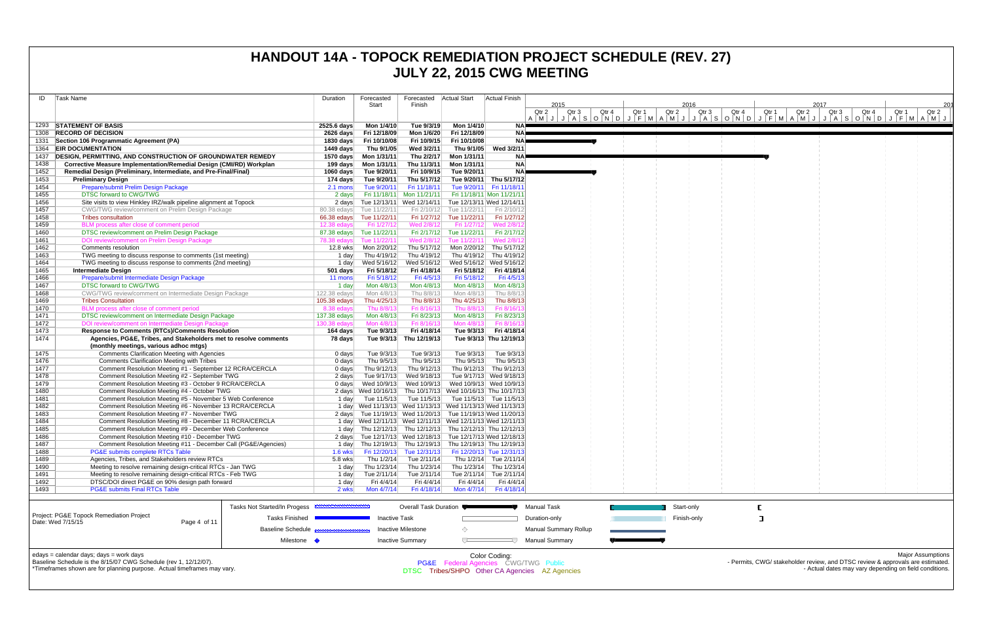| ID           | Task Name                                                                                                            | Duration                     | Forecasted                                                                                                              | Forecasted   Actual Start                           |                                           | <b>Actual Finish</b>      |                                                                                                                      |       |       |               |                           |                                                                                |       |                          |                                                        |       |                          |
|--------------|----------------------------------------------------------------------------------------------------------------------|------------------------------|-------------------------------------------------------------------------------------------------------------------------|-----------------------------------------------------|-------------------------------------------|---------------------------|----------------------------------------------------------------------------------------------------------------------|-------|-------|---------------|---------------------------|--------------------------------------------------------------------------------|-------|--------------------------|--------------------------------------------------------|-------|--------------------------|
|              |                                                                                                                      |                              | Start                                                                                                                   | Finish                                              |                                           |                           | 2015<br>Qtr 2<br>Qtr 3                                                                                               | Qtr 4 | Qtr 1 | 2016<br>Qtr 2 | Qtr <sub>3</sub><br>Qtr 4 | Qtr 1                                                                          | Qtr 2 | 2017<br>Qtr <sub>3</sub> | Qtr 4                                                  | Qtr 1 | 201<br>Qtr 2             |
|              |                                                                                                                      |                              |                                                                                                                         |                                                     |                                           |                           | <u>A M J J A S O N D J F M A M J J A S O N D J F M A M J J A S O N D J F M A M J J A J J F M A M J J F M A M J J</u> |       |       |               |                           |                                                                                |       |                          |                                                        |       |                          |
|              | 1293 STATEMENT OF BASIS                                                                                              | 2525.6 days                  | Mon 1/4/10                                                                                                              | Tue 9/3/19                                          | Mon 1/4/10                                |                           | NAP<br>$NA =$                                                                                                        |       |       |               |                           |                                                                                |       |                          |                                                        |       |                          |
| 1331         | 1308 RECORD OF DECISION<br>Section 106 Programmatic Agreement (PA)                                                   |                              | 2626 days Fri 12/18/09<br>1830 days Fri 10/10/08                                                                        | Mon 1/6/20<br>Fri 10/9/15                           | Fri 12/18/09<br>Fri 10/10/08              |                           | NA≣                                                                                                                  |       |       |               |                           |                                                                                |       |                          |                                                        |       |                          |
|              | 1364 EIR DOCUMENTATION                                                                                               | 1449 days                    | Thu 9/1/05                                                                                                              | Wed 3/2/11                                          | Thu 9/1/05                                | Wed 3/2/11                |                                                                                                                      |       |       |               |                           |                                                                                |       |                          |                                                        |       |                          |
|              | 1437 DESIGN, PERMITTING, AND CONSTRUCTION OF GROUNDWATER REMEDY                                                      | 1570 days                    | Mon 1/31/11                                                                                                             | Thu 2/2/17                                          | Mon 1/31/11                               |                           | <b>NAP</b>                                                                                                           |       |       |               |                           |                                                                                |       |                          |                                                        |       |                          |
| 1438         | Corrective Measure Implementation/Remedial Design (CMI/RD) Workplan                                                  | 199 days                     | Mon 1/31/11                                                                                                             | Thu 11/3/11                                         | Mon 1/31/11                               | <b>NA</b>                 |                                                                                                                      |       |       |               |                           |                                                                                |       |                          |                                                        |       |                          |
| 1452         | Remedial Design (Preliminary, Intermediate, and Pre-Final/Final)                                                     |                              | 1060 days Tue 9/20/11                                                                                                   | Fri 10/9/15                                         | Tue 9/20/11                               | <b>NA</b>                 |                                                                                                                      |       |       |               |                           |                                                                                |       |                          |                                                        |       |                          |
| 1453         | <b>Preliminary Design</b>                                                                                            | 174 days                     | Tue 9/20/11                                                                                                             | Thu 5/17/12                                         | Tue 9/20/11 Thu 5/17/12                   |                           |                                                                                                                      |       |       |               |                           |                                                                                |       |                          |                                                        |       |                          |
| 1454         | Prepare/submit Prelim Design Package                                                                                 | $2.1 \text{ mon}$            | Tue 9/20/11                                                                                                             | Fri 11/18/11                                        | Tue 9/20/11 Fri 11/18/11                  |                           |                                                                                                                      |       |       |               |                           |                                                                                |       |                          |                                                        |       |                          |
| 1455         | <b>DTSC forward to CWG/TWG</b>                                                                                       |                              | 2 days                                                                                                                  | Fri 11/18/11 Mon 11/21/11                           | Fri 11/18/11 Mon 11/21/11                 |                           |                                                                                                                      |       |       |               |                           |                                                                                |       |                          |                                                        |       |                          |
| 1456<br>1457 | Site visits to view Hinkley IRZ/walk pipeline alignment at Topock<br>CWG/TWG review/comment on Prelim Design Package |                              | 2 days<br>80.38 edays Tue 11/22/11                                                                                      | Tue 12/13/11 Wed 12/14/11 Tue 12/13/11 Wed 12/14/11 | Fri 2/10/12 Tue 11/22/11                  | Fri 2/10/12               |                                                                                                                      |       |       |               |                           |                                                                                |       |                          |                                                        |       |                          |
| 1458         | <b>Tribes consultation</b>                                                                                           | 66.38 edays                  | Tue 11/22/11                                                                                                            |                                                     | Fri 1/27/12 Tue 11/22/11                  | Fri 1/27/12               |                                                                                                                      |       |       |               |                           |                                                                                |       |                          |                                                        |       |                          |
| 1459         | BLM process after close of comment period                                                                            | $12.38$ edays                | Fri 1/27/12                                                                                                             | Wed 2/8/12                                          | Fri 1/27/12                               | Wed 2/8/1                 |                                                                                                                      |       |       |               |                           |                                                                                |       |                          |                                                        |       |                          |
| 1460         | DTSC review/comment on Prelim Design Package                                                                         |                              | 87.38 edays Tue 11/22/11                                                                                                |                                                     | Fri 2/17/12 Tue 11/22/11                  | Fri 2/17/12               |                                                                                                                      |       |       |               |                           |                                                                                |       |                          |                                                        |       |                          |
| 1461         | DOI review/comment on Prelim Design Package                                                                          | <b>78.38 edays</b>           | Tue 11/22/11                                                                                                            | Wed 2/8/12                                          | Tue 11/22/11                              | Wed 2/8/1                 |                                                                                                                      |       |       |               |                           |                                                                                |       |                          |                                                        |       |                          |
| 1462         | Comments resolution                                                                                                  |                              | 12.8 wks<br>Mon 2/20/12                                                                                                 |                                                     | Thu 5/17/12    Mon 2/20/12    Thu 5/17/12 |                           |                                                                                                                      |       |       |               |                           |                                                                                |       |                          |                                                        |       |                          |
| 1463         | TWG meeting to discuss response to comments (1st meeting)                                                            |                              | Thu 4/19/12<br>1 day                                                                                                    | Thu 4/19/12                                         | Thu 4/19/12 Thu 4/19/12                   |                           |                                                                                                                      |       |       |               |                           |                                                                                |       |                          |                                                        |       |                          |
| 1464         | TWG meeting to discuss response to comments (2nd meeting)                                                            |                              | 1 day<br>Wed 5/16/12                                                                                                    | Wed 5/16/12                                         | Wed 5/16/12 Wed 5/16/12                   |                           |                                                                                                                      |       |       |               |                           |                                                                                |       |                          |                                                        |       |                          |
| 1465         | <b>Intermediate Design</b><br>Prepare/submit Intermediate Design Package                                             | $501$ days                   | Fri 5/18/12<br>Fri 5/18/12                                                                                              | Fri 4/18/14<br>Fri 4/5/13                           | Fri 5/18/12<br>Fri 5/18/12                | Fri 4/18/14<br>Fri 4/5/13 |                                                                                                                      |       |       |               |                           |                                                                                |       |                          |                                                        |       |                          |
| 1466<br>1467 | DTSC forward to CWG/TWG                                                                                              | 11 mons                      | 1 day<br>Mon 4/8/13                                                                                                     | Mon 4/8/13                                          | Mon 4/8/13                                | Mon 4/8/13                |                                                                                                                      |       |       |               |                           |                                                                                |       |                          |                                                        |       |                          |
| 1468         | CWG/TWG review/comment on Intermediate Design Package                                                                | 122.38 edays                 | Mon 4/8/13                                                                                                              | Thu 8/8/13                                          | Mon 4/8/13                                | Thu 8/8/1:                |                                                                                                                      |       |       |               |                           |                                                                                |       |                          |                                                        |       |                          |
| 1469         | <b>Tribes Consultation</b>                                                                                           | 105.38 edays                 | Thu 4/25/13                                                                                                             | Thu 8/8/13                                          | Thu 4/25/13                               | Thu 8/8/13                |                                                                                                                      |       |       |               |                           |                                                                                |       |                          |                                                        |       |                          |
| 1470         | BLM process after close of comment period                                                                            | 8.38 edays                   | Thu 8/8/13                                                                                                              | Fri 8/16/13                                         | Thu 8/8/13                                | Fri 8/16/1                |                                                                                                                      |       |       |               |                           |                                                                                |       |                          |                                                        |       |                          |
| 1471         | DTSC review/comment on Intermediate Design Package                                                                   | 137.38 edays                 | Mon 4/8/13                                                                                                              | Fri 8/23/13                                         | Mon 4/8/13                                | Fri 8/23/13               |                                                                                                                      |       |       |               |                           |                                                                                |       |                          |                                                        |       |                          |
| 1472         | DOI review/comment on Intermediate Design Package                                                                    | 130.38 edays                 | Mon 4/8/13                                                                                                              | Fri 8/16/13                                         | Mon 4/8/13                                | Fri 8/16/1                |                                                                                                                      |       |       |               |                           |                                                                                |       |                          |                                                        |       |                          |
| 1473         | <b>Response to Comments (RTCs)/Comments Resolution</b>                                                               | 164 days                     | Tue 9/3/13                                                                                                              | Fri 4/18/14                                         |                                           | Tue 9/3/13    Fri 4/18/14 |                                                                                                                      |       |       |               |                           |                                                                                |       |                          |                                                        |       |                          |
| 1474         | Agencies, PG&E, Tribes, and Stakeholders met to resolve comments                                                     | 78 days                      | Tue 9/3/13                                                                                                              | Thu 12/19/13                                        |                                           | Tue 9/3/13 Thu 12/19/13   |                                                                                                                      |       |       |               |                           |                                                                                |       |                          |                                                        |       |                          |
| 1475         | (monthly meetings, various adhoc mtgs)<br><b>Comments Clarification Meeting with Agencies</b>                        |                              | Tue 9/3/13<br>$0$ days                                                                                                  | Tue 9/3/13                                          | Tue 9/3/13                                | Tue 9/3/13                |                                                                                                                      |       |       |               |                           |                                                                                |       |                          |                                                        |       |                          |
| 1476         | <b>Comments Clarification Meeting with Tribes</b>                                                                    |                              | Thu 9/5/13<br>0 days                                                                                                    | Thu 9/5/13                                          | Thu 9/5/13                                | Thu 9/5/13                |                                                                                                                      |       |       |               |                           |                                                                                |       |                          |                                                        |       |                          |
| 1477         | Comment Resolution Meeting #1 - September 12 RCRA/CERCLA                                                             |                              | Thu 9/12/13<br>$0$ days                                                                                                 | Thu 9/12/13                                         |                                           | Thu 9/12/13 Thu 9/12/13   |                                                                                                                      |       |       |               |                           |                                                                                |       |                          |                                                        |       |                          |
| 1478         | Comment Resolution Meeting #2 - September TWG                                                                        |                              | 2 days<br>Tue 9/17/13                                                                                                   | Wed 9/18/13                                         | Tue 9/17/13 Wed 9/18/13                   |                           |                                                                                                                      |       |       |               |                           |                                                                                |       |                          |                                                        |       |                          |
| 1479         | Comment Resolution Meeting #3 - October 9 RCRA/CERCLA                                                                |                              | $0 \text{ days}$<br>Wed 10/9/13                                                                                         |                                                     |                                           |                           |                                                                                                                      |       |       |               |                           |                                                                                |       |                          |                                                        |       |                          |
| 1480         | Comment Resolution Meeting #4 - October TWG                                                                          |                              | 2 days Wed 10/16/13 Thu 10/17/13 Wed 10/16/13 Thu 10/17/13                                                              |                                                     |                                           |                           |                                                                                                                      |       |       |               |                           |                                                                                |       |                          |                                                        |       |                          |
| 1481         | Comment Resolution Meeting #5 - November 5 Web Conference                                                            |                              | Tue 11/5/13<br>1 day                                                                                                    |                                                     | Tue 11/5/13 Tue 11/5/13 Tue 11/5/13       |                           |                                                                                                                      |       |       |               |                           |                                                                                |       |                          |                                                        |       |                          |
| 1482         | Comment Resolution Meeting #6 - November 13 RCRA/CERCLA                                                              |                              | 1 day Wed 11/13/13 Wed 11/13/13 Wed 11/13/13 Wed 11/13/13                                                               |                                                     |                                           |                           |                                                                                                                      |       |       |               |                           |                                                                                |       |                          |                                                        |       |                          |
| 1483<br>1484 | Comment Resolution Meeting #7 - November TWG<br>Comment Resolution Meeting #8 - December 11 RCRA/CERCLA              |                              | 2 days Tue 11/19/13 Wed 11/20/13 Tue 11/19/13 Wed 11/20/13<br>1 day Wed 12/11/13 Wed 12/11/13 Wed 12/11/13 Wed 12/11/13 |                                                     |                                           |                           |                                                                                                                      |       |       |               |                           |                                                                                |       |                          |                                                        |       |                          |
| 1485         | Comment Resolution Meeting #9 - December Web Conference                                                              |                              | 1 day Thu 12/12/13 Thu 12/12/13 Thu 12/12/13 Thu 12/12/13                                                               |                                                     |                                           |                           |                                                                                                                      |       |       |               |                           |                                                                                |       |                          |                                                        |       |                          |
| 1486         | Comment Resolution Meeting #10 - December TWG                                                                        |                              | 2 days Tue 12/17/13 Wed 12/18/13 Tue 12/17/13 Wed 12/18/13                                                              |                                                     |                                           |                           |                                                                                                                      |       |       |               |                           |                                                                                |       |                          |                                                        |       |                          |
| 1487         | Comment Resolution Meeting #11 - December Call (PG&E/Agencies)                                                       |                              | 1 day                                                                                                                   | Thu 12/19/13 Thu 12/19/13 Thu 12/19/13 Thu 12/19/13 |                                           |                           |                                                                                                                      |       |       |               |                           |                                                                                |       |                          |                                                        |       |                          |
| 1488         | PG&E submits complete RTCs Table                                                                                     |                              | $1.6$ wks<br>Fri 12/20/13                                                                                               | Tue 12/31/13                                        | Fri 12/20/13 Tue 12/31/13                 |                           |                                                                                                                      |       |       |               |                           |                                                                                |       |                          |                                                        |       |                          |
| 1489         | Agencies, Tribes, and Stakeholders review RTCs                                                                       |                              | 5.8 wks<br>Thu 1/2/14                                                                                                   | Tue 2/11/14                                         | Thu 1/2/14                                | Tue 2/11/14               |                                                                                                                      |       |       |               |                           |                                                                                |       |                          |                                                        |       |                          |
| 1490         | Meeting to resolve remaining design-critical RTCs - Jan TWG                                                          |                              | Thu 1/23/14<br>1 day                                                                                                    | Thu 1/23/14                                         |                                           | Thu 1/23/14 Thu 1/23/14   |                                                                                                                      |       |       |               |                           |                                                                                |       |                          |                                                        |       |                          |
| 1491         | Meeting to resolve remaining design-critical RTCs - Feb TWG                                                          |                              | Tue 2/11/14<br>1 day                                                                                                    | Tue 2/11/14                                         | Tue 2/11/14 Tue 2/11/14                   |                           |                                                                                                                      |       |       |               |                           |                                                                                |       |                          |                                                        |       |                          |
| 1492<br>1493 | DTSC/DOI direct PG&E on 90% design path forward<br><b>PG&amp;E submits Final RTCs Table</b>                          |                              | Fri 4/4/14<br>1 day<br>2 wks<br>Mon 4/7/14                                                                              | Fri 4/4/14<br>Fri 4/18/14                           | Fri 4/4/14<br>Mon 4/7/14                  | Fri 4/4/14<br>Fri 4/18/14 |                                                                                                                      |       |       |               |                           |                                                                                |       |                          |                                                        |       |                          |
|              |                                                                                                                      |                              |                                                                                                                         |                                                     |                                           |                           |                                                                                                                      |       |       |               |                           |                                                                                |       |                          |                                                        |       |                          |
|              |                                                                                                                      | Tasks Not Started/In Progess |                                                                                                                         | Overall Task Duration                               |                                           |                           | <b>Manual Task</b>                                                                                                   |       |       | Start-only    |                           |                                                                                |       |                          |                                                        |       |                          |
|              | Project: PG&E Topock Remediation Project<br>Page 4 of 11<br>Date: Wed 7/15/15                                        | <b>Tasks Finished</b>        |                                                                                                                         | <b>Inactive Task</b>                                |                                           |                           | Duration-only                                                                                                        |       |       | Finish-only   |                           | П                                                                              |       |                          |                                                        |       |                          |
|              |                                                                                                                      | <b>Baseline Schedule</b>     |                                                                                                                         | <b>Inactive Milestone</b>                           | ◇                                         |                           | <b>Manual Summary Rollup</b>                                                                                         |       |       |               |                           |                                                                                |       |                          |                                                        |       |                          |
|              |                                                                                                                      | Milestone •                  |                                                                                                                         | <b>Inactive Summary</b>                             | ᄃ                                         |                           | <b>Manual Summary</b>                                                                                                |       |       |               |                           |                                                                                |       |                          |                                                        |       |                          |
|              | edays = calendar days; days = work days                                                                              |                              |                                                                                                                         |                                                     |                                           | Color Coding:             |                                                                                                                      |       |       |               |                           |                                                                                |       |                          |                                                        |       | <b>Major Assumptions</b> |
|              | Baseline Schedule is the 8/15/07 CWG Schedule (rev 1, 12/12/07).                                                     |                              |                                                                                                                         |                                                     |                                           |                           | PG&E Federal Agencies CWG/TWG Public                                                                                 |       |       |               |                           | - Permits, CWG/ stakeholder review, and DTSC review & approvals are estimated. |       |                          |                                                        |       |                          |
|              | *Timeframes shown are for planning purpose. Actual timeframes may vary.                                              |                              |                                                                                                                         |                                                     |                                           |                           | DTSC Tribes/SHPO Other CA Agencies AZ Agencies                                                                       |       |       |               |                           |                                                                                |       |                          | - Actual dates may vary depending on field conditions. |       |                          |
|              |                                                                                                                      |                              |                                                                                                                         |                                                     |                                           |                           |                                                                                                                      |       |       |               |                           |                                                                                |       |                          |                                                        |       |                          |

|                                                                                                             |              | Tasks Not Started/In Progess <b>EXAMPLE IN EXAMPLE IN THE</b> | Overall Task Duration   |                                                                  | Manual Task           | Start-only  |
|-------------------------------------------------------------------------------------------------------------|--------------|---------------------------------------------------------------|-------------------------|------------------------------------------------------------------|-----------------------|-------------|
| Project: PG&E Topock Remediation Project<br>Date: Wed 7/15/15                                               | Page 4 of 11 | <b>Tasks Finished</b>                                         | Inactive Task           |                                                                  | Duration-only         | Finish-only |
|                                                                                                             |              | Baseline Schedule <b>Basessessessessesses</b>                 | Inactive Milestone      |                                                                  | Manual Summary Rollup |             |
|                                                                                                             |              | Milestone                                                     | <b>Inactive Summary</b> |                                                                  | Manual Summarv        |             |
| edays = calendar days; days = work days<br>Baseline Schedule is the 8/15/07 CWG Schedule (rev 1, 12/12/07). |              |                                                               |                         | Color Coding:<br><b>DC&amp;F</b> Fodoral Agoncies CWC/TWC Public |                       |             |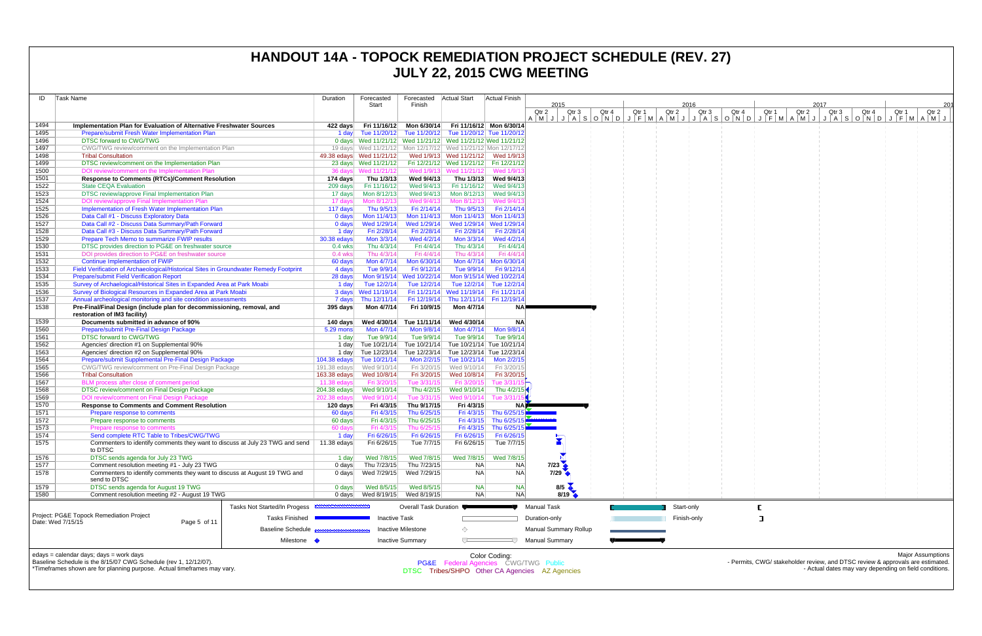| ID           | Task Name                                                                                                                       | Duration              | Forecasted                                                  | Forecasted   Actual Start    |                                                                              | Actual Finish                         |                                                |                  |       |       |             |                                                                                                   |       |       |                                                                                |       |                          |     |
|--------------|---------------------------------------------------------------------------------------------------------------------------------|-----------------------|-------------------------------------------------------------|------------------------------|------------------------------------------------------------------------------|---------------------------------------|------------------------------------------------|------------------|-------|-------|-------------|---------------------------------------------------------------------------------------------------|-------|-------|--------------------------------------------------------------------------------|-------|--------------------------|-----|
|              |                                                                                                                                 |                       | Start                                                       | Finish                       |                                                                              |                                       | 2015                                           |                  |       |       |             |                                                                                                   |       | 2017  |                                                                                |       |                          | 201 |
|              |                                                                                                                                 |                       |                                                             |                              |                                                                              |                                       | Qtr 2                                          | Qtr <sub>3</sub> | Qtr 4 | Qtr 1 | Qtr 2       | Qtr 4<br>Qtr 3<br>A M J J A S O N D J F M A M J J A S O N D J F M A M J J A S O N D J F M A M J J | Qtr 1 | Qtr 2 | Qtr 3<br>Qtr 4                                                                 | Qtr 1 | Qtr 2                    |     |
| 1494         | Implementation Plan for Evaluation of Alternative Freshwater Sources                                                            | 422 days              |                                                             |                              | Fri 11/16/12 Mon 6/30/14 Fri 11/16/12 Mon 6/30/14                            |                                       |                                                |                  |       |       |             |                                                                                                   |       |       |                                                                                |       |                          |     |
| 1495         | Prepare/submit Fresh Water Implementation Plan                                                                                  | 1 day                 |                                                             |                              | Tue 11/20/12 Tue 11/20/12 Tue 11/20/12 Tue 11/20/12                          |                                       |                                                |                  |       |       |             |                                                                                                   |       |       |                                                                                |       |                          |     |
| 1496         | <b>DTSC forward to CWG/TWG</b>                                                                                                  |                       | 0 days Wed 11/21/12 Wed 11/21/12 Wed 11/21/12 Wed 11/21/12  |                              |                                                                              |                                       |                                                |                  |       |       |             |                                                                                                   |       |       |                                                                                |       |                          |     |
| 1497         | CWG/TWG review/comment on the Implementation Plan                                                                               |                       | 19 days Wed 11/21/12 Mon 12/17/12 Wed 11/21/12 Mon 12/17/12 |                              |                                                                              |                                       |                                                |                  |       |       |             |                                                                                                   |       |       |                                                                                |       |                          |     |
| 1498<br>1499 | <b>Tribal Consultation</b><br>DTSC review/comment on the Implementation Plan                                                    |                       | 49.38 edays Wed 11/21/12<br>23 days Wed 11/21/12            |                              | Wed 1/9/13 Wed 11/21/12 Wed 1/9/13<br>Fri 12/21/12 Wed 11/21/12 Fri 12/21/12 |                                       |                                                |                  |       |       |             |                                                                                                   |       |       |                                                                                |       |                          |     |
| 1500         | DOI review/comment on the Implementation Plan                                                                                   |                       | 36 days Wed 11/21/12                                        |                              | Wed 1/9/13 Wed 11/21/12                                                      | Wed 1/9/1:                            |                                                |                  |       |       |             |                                                                                                   |       |       |                                                                                |       |                          |     |
| 1501         | <b>Response to Comments (RTCs)/Comment Resolution</b>                                                                           | 174 days              | Thu 1/3/13                                                  | Wed 9/4/13                   |                                                                              | Thu 1/3/13 Wed 9/4/13                 |                                                |                  |       |       |             |                                                                                                   |       |       |                                                                                |       |                          |     |
| 1522         | <b>State CEOA Evaluation</b>                                                                                                    | 209 days              | Fri 11/16/12                                                |                              | Wed 9/4/13 Fri 11/16/12                                                      | Wed 9/4/13                            |                                                |                  |       |       |             |                                                                                                   |       |       |                                                                                |       |                          |     |
| 1523         | DTSC review/approve Final Implementation Plan                                                                                   | 17 days               | Mon 8/12/13                                                 | Wed 9/4/13                   | Mon 8/12/13                                                                  | Wed 9/4/13                            |                                                |                  |       |       |             |                                                                                                   |       |       |                                                                                |       |                          |     |
| 1524         | DOI review/approve Final Implementation Plan                                                                                    | 17 days               | Mon 8/12/13                                                 | Wed 9/4/13                   | Mon 8/12/13                                                                  | Wed 9/4/1                             |                                                |                  |       |       |             |                                                                                                   |       |       |                                                                                |       |                          |     |
| 1525         | Implementation of Fresh Water Implementation Plan                                                                               | 117 days              | Thu 9/5/13                                                  | Fri 2/14/14                  | Thu 9/5/13                                                                   | Fri 2/14/14                           |                                                |                  |       |       |             |                                                                                                   |       |       |                                                                                |       |                          |     |
| 1526         | Data Call #1 - Discuss Exploratory Data<br>Data Call #2 - Discuss Data Summary/Path Forward                                     | 0 days                | Mon 11/4/13<br>Wed 1/29/14                                  | Wed 1/29/14                  | Mon 11/4/13  Mon 11/4/13  Mon 11/4/13                                        |                                       |                                                |                  |       |       |             |                                                                                                   |       |       |                                                                                |       |                          |     |
| 1527<br>1528 | Data Call #3 - Discuss Data Summary/Path Forward                                                                                | 0 days<br>1 day       | Fri 2/28/14                                                 | Fri 2/28/14                  | Wed 1/29/14 Wed 1/29/14                                                      | Fri 2/28/14 Fri 2/28/14               |                                                |                  |       |       |             |                                                                                                   |       |       |                                                                                |       |                          |     |
| 1529         | <b>Prepare Tech Memo to summarize FWIP results</b>                                                                              | 30.38 edays           | Mon 3/3/14                                                  | Wed 4/2/14                   | Mon 3/3/14                                                                   | Wed 4/2/14                            |                                                |                  |       |       |             |                                                                                                   |       |       |                                                                                |       |                          |     |
| 1530         | DTSC provides direction to PG&E on freshwater source                                                                            | $0.4$ wks             | Thu 4/3/14                                                  | Fri 4/4/14                   | Thu 4/3/14                                                                   | Fri 4/4/14                            |                                                |                  |       |       |             |                                                                                                   |       |       |                                                                                |       |                          |     |
| 1531         | DOI provides direction to PG&E on freshwater source                                                                             | $0.4$ wks             | Thu 4/3/14                                                  | Fri 4/4/14                   | Thu 4/3/14                                                                   | Fri 4/4/14                            |                                                |                  |       |       |             |                                                                                                   |       |       |                                                                                |       |                          |     |
| 1532         | <b>Continue Implementation of FWIP</b>                                                                                          | 60 days               | Mon 4/7/14                                                  | Mon 6/30/14                  |                                                                              | Mon 4/7/14 Mon 6/30/14                |                                                |                  |       |       |             |                                                                                                   |       |       |                                                                                |       |                          |     |
| 1533         | Field Verification of Archaeological/Historical Sites in Groundwater Remedy Footprint                                           | 4 days                | Tue 9/9/14                                                  | Fri 9/12/14                  |                                                                              | Tue 9/9/14   Fri 9/12/14              |                                                |                  |       |       |             |                                                                                                   |       |       |                                                                                |       |                          |     |
| 1534         | <b>Prepare/submit Field Verification Report</b>                                                                                 | 28 days               |                                                             | Mon 9/15/14 Wed 10/22/14     | Mon 9/15/14 Wed 10/22/14                                                     |                                       |                                                |                  |       |       |             |                                                                                                   |       |       |                                                                                |       |                          |     |
| 1535         | Survey of Archaelogical/Historical Sites in Expanded Area at Park Moabi                                                         | 1 day                 | Tue 12/2/14                                                 |                              | Tue 12/2/14 Tue 12/2/14 Tue 12/2/14                                          |                                       |                                                |                  |       |       |             |                                                                                                   |       |       |                                                                                |       |                          |     |
| 1536         | Survey of Biological Resources in Expanded Area at Park Moabi<br>Annual archeological monitoring and site condition assessments |                       | 3 days Wed 11/19/14                                         |                              | Fri 11/21/14 Wed 11/19/14 Fri 11/21/14                                       |                                       |                                                |                  |       |       |             |                                                                                                   |       |       |                                                                                |       |                          |     |
| 1537<br>1538 | Pre-Final/Final Design (include plan for decommissioning, removal, and                                                          | 7 days<br>395 days    | Thu 12/11/14<br>Mon 4/7/14                                  | Fri 10/9/15                  | Fri 12/19/14 Thu 12/11/14 Fri 12/19/14<br>Mon 4/7/14                         | <b>NA</b>                             |                                                |                  |       |       |             |                                                                                                   |       |       |                                                                                |       |                          |     |
|              | restoration of IM3 facility)                                                                                                    |                       |                                                             |                              |                                                                              |                                       |                                                |                  |       |       |             |                                                                                                   |       |       |                                                                                |       |                          |     |
| 1539         | Documents submitted in advance of 90%                                                                                           | 140 days              | Wed 4/30/14                                                 | Tue 11/11/14                 | Wed 4/30/14                                                                  | <b>NA</b>                             |                                                |                  |       |       |             |                                                                                                   |       |       |                                                                                |       |                          |     |
| 1560         | Prepare/submit Pre-Final Design Package                                                                                         | 5.29 mons             | Mon 4/7/14                                                  | Mon 9/8/14                   | Mon 4/7/14                                                                   | Mon 9/8/14                            |                                                |                  |       |       |             |                                                                                                   |       |       |                                                                                |       |                          |     |
| 1561         | <b>DTSC forward to CWG/TWG</b>                                                                                                  | 1 day                 | Tue 9/9/14                                                  | Tue 9/9/14                   | Tue 9/9/14                                                                   | Tue 9/9/14                            |                                                |                  |       |       |             |                                                                                                   |       |       |                                                                                |       |                          |     |
| 1562         | Agencies' direction #1 on Supplemental 90%                                                                                      | 1 day                 | Tue 10/21/14                                                |                              | Tue 10/21/14 Tue 10/21/14 Tue 10/21/14                                       |                                       |                                                |                  |       |       |             |                                                                                                   |       |       |                                                                                |       |                          |     |
| 1563         | Agencies' direction #2 on Supplemental 90%<br>Prepare/submit Supplemental Pre-Final Design Package                              | 1 day<br>104.38 edays | Tue 12/23/14<br>Tue 10/21/14                                |                              | Tue 12/23/14 Tue 12/23/14 Tue 12/23/14<br>Tue 10/21/14                       | Mon 2/2/15                            |                                                |                  |       |       |             |                                                                                                   |       |       |                                                                                |       |                          |     |
| 1564<br>1565 | CWG/TWG review/comment on Pre-Final Design Package                                                                              | 191.38 edays          | Wed 9/10/14                                                 | Mon 2/2/15<br>Fri 3/20/15    | Wed 9/10/14                                                                  | Fri 3/20/15                           |                                                |                  |       |       |             |                                                                                                   |       |       |                                                                                |       |                          |     |
| 1566         | <b>Tribal Consultation</b>                                                                                                      | 163.38 edays          | Wed 10/8/14                                                 | Fri 3/20/15                  | Wed 10/8/14                                                                  | Fri 3/20/15                           |                                                |                  |       |       |             |                                                                                                   |       |       |                                                                                |       |                          |     |
| 1567         | BLM process after close of comment period                                                                                       | $11.38$ edays         | Fri 3/20/15                                                 | Tue 3/31/15                  | Fri 3/20/15                                                                  | Tue 3/31/                             |                                                |                  |       |       |             |                                                                                                   |       |       |                                                                                |       |                          |     |
| 1568         | DTSC review/comment on Final Design Package                                                                                     | 204.38 edays          | Wed 9/10/14                                                 |                              | Thu 4/2/15 Wed 9/10/14                                                       | Thu 4/2/15                            |                                                |                  |       |       |             |                                                                                                   |       |       |                                                                                |       |                          |     |
| 1569         | DOI review/comment on Final Design Package                                                                                      | 202.38 edays          | Wed 9/10/14                                                 | Tue 3/31/15                  | Wed 9/10/14                                                                  | Tue 3/31                              |                                                |                  |       |       |             |                                                                                                   |       |       |                                                                                |       |                          |     |
| 1570         | <b>Response to Comments and Comment Resolution</b>                                                                              | 120 days              | Fri 4/3/15                                                  | Thu 9/17/15                  | Fri 4/3/15                                                                   |                                       |                                                |                  |       |       |             |                                                                                                   |       |       |                                                                                |       |                          |     |
| 1571         | Prepare response to comments                                                                                                    | 60 days               | Fri 4/3/15                                                  | Thu 6/25/15                  |                                                                              | Fri 4/3/15 Thu 6/25/15                |                                                |                  |       |       |             |                                                                                                   |       |       |                                                                                |       |                          |     |
| 1572<br>1573 | Prepare response to comments<br>Prepare response to comments                                                                    | 60 days<br>60 days    | Fri 4/3/15<br>Fri 4/3/15                                    | Thu 6/25/15<br>Thu 6/25/15   | Fri 4/3/15                                                                   | Thu 6/25/15<br>Fri 4/3/15 Thu 6/25/15 |                                                |                  |       |       |             |                                                                                                   |       |       |                                                                                |       |                          |     |
| 1574         | Send complete RTC Table to Tribes/CWG/TWG                                                                                       | 1 day                 | Fri 6/26/15                                                 | Fri 6/26/15                  | Fri 6/26/15                                                                  | Fri 6/26/15                           |                                                |                  |       |       |             |                                                                                                   |       |       |                                                                                |       |                          |     |
| 1575         | Commenters to identify comments they want to discuss at July 23 TWG and send                                                    | 11.38 $edays$         | Fri 6/26/15                                                 | Tue 7/7/15                   | Fri 6/26/15                                                                  | Tue 7/7/15                            |                                                |                  |       |       |             |                                                                                                   |       |       |                                                                                |       |                          |     |
|              | to DTSC                                                                                                                         |                       |                                                             |                              |                                                                              |                                       |                                                |                  |       |       |             |                                                                                                   |       |       |                                                                                |       |                          |     |
| 1576         | DTSC sends agenda for July 23 TWG                                                                                               | 1 day                 | Wed 7/8/15                                                  | Wed 7/8/15                   | Wed 7/8/15                                                                   | Wed 7/8/15                            |                                                |                  |       |       |             |                                                                                                   |       |       |                                                                                |       |                          |     |
| 1577         | Comment resolution meeting #1 - July 23 TWG                                                                                     | 0 days                | Thu 7/23/15                                                 | Thu 7/23/15                  | <b>NA</b>                                                                    | N <sub>A</sub>                        | $7/23$ $\triangle$                             |                  |       |       |             |                                                                                                   |       |       |                                                                                |       |                          |     |
| 1578         | Commenters to identify comments they want to discuss at August 19 TWG and<br>send to DTSC                                       | 0 days                | Wed 7/29/15                                                 | Wed 7/29/15                  | <b>NA</b>                                                                    | <b>NA</b>                             | 7/29                                           |                  |       |       |             |                                                                                                   |       |       |                                                                                |       |                          |     |
| 1579         | DTSC sends agenda for August 19 TWG                                                                                             | 0 days                | Wed 8/5/15                                                  | Wed 8/5/15                   | <b>NA</b>                                                                    | <b>NA</b>                             | $8/5$ $\leftarrow$                             |                  |       |       |             |                                                                                                   |       |       |                                                                                |       |                          |     |
| 1580         | Comment resolution meeting #2 - August 19 TWG                                                                                   | 0 days                |                                                             | Wed 8/19/15 Wed 8/19/15      | <b>NA</b>                                                                    | <b>NA</b>                             | 8/19                                           |                  |       |       |             |                                                                                                   |       |       |                                                                                |       |                          |     |
|              | Tasks Not Started/In Progess                                                                                                    |                       |                                                             | <b>Overall Task Duration</b> |                                                                              |                                       | <b>Manual Task</b>                             |                  |       |       | Start-only  |                                                                                                   |       |       |                                                                                |       |                          |     |
|              | Project: PG&E Topock Remediation Project                                                                                        |                       |                                                             |                              |                                                                              |                                       |                                                |                  |       |       |             |                                                                                                   |       |       |                                                                                |       |                          |     |
|              | <b>Tasks Finished</b><br>Date: Wed 7/15/15<br>Page 5 of 11                                                                      |                       | <b>Inactive Task</b>                                        |                              |                                                                              |                                       | Duration-only                                  |                  |       |       | Finish-only |                                                                                                   |       |       |                                                                                |       |                          |     |
|              | <b>Baseline Schedule</b>                                                                                                        |                       |                                                             | <b>Inactive Milestone</b>    | ◇                                                                            |                                       | <b>Manual Summary Rollup</b>                   |                  |       |       |             |                                                                                                   |       |       |                                                                                |       |                          |     |
|              | Milestone                                                                                                                       |                       |                                                             | <b>Inactive Summary</b>      |                                                                              |                                       | <b>Manual Summary</b>                          |                  |       |       |             |                                                                                                   |       |       |                                                                                |       |                          |     |
|              |                                                                                                                                 |                       |                                                             |                              |                                                                              |                                       |                                                |                  |       |       |             |                                                                                                   |       |       |                                                                                |       |                          |     |
|              | edays = calendar days; days = work days<br>Baseline Schedule is the 8/15/07 CWG Schedule (rev 1, 12/12/07).                     |                       |                                                             |                              | PG&E Federal Agencies CWG/TWG Public                                         | Color Coding:                         |                                                |                  |       |       |             |                                                                                                   |       |       | - Permits, CWG/ stakeholder review, and DTSC review & approvals are estimated. |       | <b>Major Assumptions</b> |     |
|              | *Timeframes shown are for planning purpose. Actual timeframes may vary.                                                         |                       |                                                             |                              |                                                                              |                                       | DTSC Tribes/SHPO Other CA Agencies AZ Agencies |                  |       |       |             |                                                                                                   |       |       | - Actual dates may vary depending on field conditions.                         |       |                          |     |
|              |                                                                                                                                 |                       |                                                             |                              |                                                                              |                                       |                                                |                  |       |       |             |                                                                                                   |       |       |                                                                                |       |                          |     |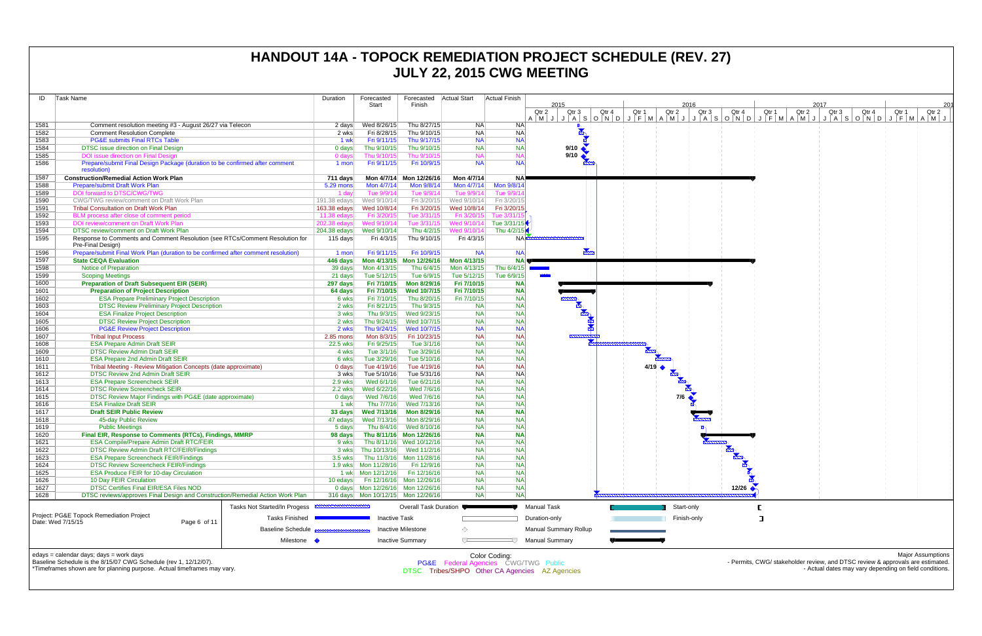| ID                | Task Name                                                                                                                                   | Duration           | Forecasted<br>Start       | Forecasted<br>Finish                                 | <b>Actual Start</b>    | <b>Actual Finish</b>                            | 2015                                           |                         | 2016           |                                                                                | 2017           | 201                                                    |
|-------------------|---------------------------------------------------------------------------------------------------------------------------------------------|--------------------|---------------------------|------------------------------------------------------|------------------------|-------------------------------------------------|------------------------------------------------|-------------------------|----------------|--------------------------------------------------------------------------------|----------------|--------------------------------------------------------|
|                   |                                                                                                                                             |                    |                           |                                                      |                        |                                                 | Qtr 2<br>Qtr 3                                 | Qtr 4<br>Qtr 1<br>Qtr 2 | Qtr 3<br>Qtr 4 | Qtr 1<br>Qtr 2                                                                 | Qtr 3<br>Qtr 4 | Qtr 1<br>Qtr 2                                         |
| 1581              | Comment resolution meeting #3 - August 26/27 via Telecon                                                                                    | 2 days             | Wed 8/26/15               | Thu 8/27/15                                          | NA.                    | NA                                              |                                                |                         |                |                                                                                |                | $A \mid M \mid J$                                      |
| 1582              | <b>Comment Resolution Complete</b>                                                                                                          | 2 wks              | Fri 8/28/15               | Thu 9/10/15                                          | <b>NA</b>              | N <sub>A</sub>                                  | $\blacktriangleright$                          |                         |                |                                                                                |                |                                                        |
| 1583              | <b>PG&amp;E submits Final RTCs Table</b>                                                                                                    | 1 wk               | Fri 9/11/15               | Thu 9/17/15                                          | <b>NA</b>              | <b>NA</b>                                       |                                                |                         |                |                                                                                |                |                                                        |
| 1584              | DTSC issue direction on Final Design                                                                                                        | 0 days             | Thu 9/10/15               | Thu 9/10/15                                          | <b>NA</b>              | <b>NA</b>                                       | 9/10                                           |                         |                |                                                                                |                |                                                        |
| 1585              | DOI issue direction on Final Design                                                                                                         | 0 days             | Thu 9/10/15               | Thu 9/10/15                                          | <b>NA</b>              |                                                 | 9/10                                           |                         |                |                                                                                |                |                                                        |
| 1586              | Prepare/submit Final Design Package (duration to be confirmed after comment<br>resolution)                                                  | 1 mon              | Fri 9/11/15               | Fri 10/9/15                                          | <b>NA</b>              | <b>NA</b>                                       |                                                |                         |                |                                                                                |                |                                                        |
| 1587              | <b>Construction/Remedial Action Work Plan</b>                                                                                               | 711 days           | Mon 4/7/14                | Mon 12/26/16                                         | Mon 4/7/14             | <b>NA</b>                                       |                                                |                         |                |                                                                                |                |                                                        |
| 1588              | <b>Prepare/submit Draft Work Plan</b>                                                                                                       | 5.29 mons          | Mon 4/7/14                | Mon 9/8/14                                           | Mon 4/7/14             | Mon 9/8/14                                      |                                                |                         |                |                                                                                |                |                                                        |
| 1589              | DOI forward to DTSC/CWG/TWG                                                                                                                 | 1 day              | Tue 9/9/14                | Tue 9/9/14                                           | Tue 9/9/14             | Tue 9/9/1                                       |                                                |                         |                |                                                                                |                |                                                        |
| 1590              | CWG/TWG review/comment on Draft Work Plan                                                                                                   | 191.38 edays       | Wed 9/10/14               | Fri 3/20/15                                          | Wed 9/10/14            | Fri 3/20/15                                     |                                                |                         |                |                                                                                |                |                                                        |
| 1591              | <b>Tribal Consultation on Draft Work Plan</b>                                                                                               | 163.38 edays       | Wed 10/8/14               | Fri 3/20/15                                          | Wed 10/8/14            | Fri 3/20/15                                     |                                                |                         |                |                                                                                |                |                                                        |
| 1592              | BLM process after close of comment period                                                                                                   | $11.38$ edays      | Fri 3/20/15               | Tue 3/31/15                                          | Fri 3/20/15            | Tue 3/31/1                                      |                                                |                         |                |                                                                                |                |                                                        |
| 1593              | DOI review/comment on Draft Work Plar                                                                                                       | 202.38 edays       | Wed 9/10/14               | Tue 3/31/15                                          | Wed 9/10/14            | Tue 3/31/15                                     |                                                |                         |                |                                                                                |                |                                                        |
| 1594              | <b>DTSC review/comment on Draft Work Plan</b>                                                                                               | 204.38 edays       | Wed 9/10/14               | Thu 4/2/15                                           | Wed 9/10/14            | Thu 4/2/15                                      |                                                |                         |                |                                                                                |                |                                                        |
| 1595              | Response to Comments and Comment Resolution (see RTCs/Comment Resolution for<br>Pre-Final Design)                                           | 115 days           | Fri 4/3/15                | Thu 9/10/15                                          | Fri 4/3/15             | NA                                              |                                                |                         |                |                                                                                |                |                                                        |
| 1596              | Prepare/submit Final Work Plan (duration to be confirmed after comment resolution)                                                          | 1 mon              | Fri 9/11/15               | Fri 10/9/15                                          | <b>NA</b>              | <b>NA</b>                                       |                                                |                         |                |                                                                                |                |                                                        |
| 1597              | <b>State CEQA Evaluation</b>                                                                                                                | 446 days           |                           | Mon 4/13/15 Mon 12/26/16                             | Mon 4/13/15            | NA <sup>I</sup>                                 |                                                |                         |                |                                                                                |                |                                                        |
| 1598              | <b>Notice of Preparation</b>                                                                                                                | 39 days            | Mon 4/13/15               | Thu 6/4/15                                           | Mon 4/13/15            | Thu 6/4/15                                      | <b>Contract Contract</b>                       |                         |                |                                                                                |                |                                                        |
| 1599              | <b>Scoping Meetings</b>                                                                                                                     | 21 days            | Tue 5/12/15               | Tue 6/9/15                                           | Tue 5/12/15            | Tue 6/9/15                                      |                                                |                         |                |                                                                                |                |                                                        |
| 1600              | <b>Preparation of Draft Subsequent EIR (SEIR)</b>                                                                                           | 297 days           | Fri 7/10/15               | Mon 8/29/16                                          | Fri 7/10/15            | <b>NA</b>                                       |                                                |                         |                |                                                                                |                |                                                        |
| 1601              | <b>Preparation of Project Description</b>                                                                                                   | 64 days            | Fri 7/10/15               | <b>Wed 10/7/15</b>                                   | Fri 7/10/15            | <b>NA</b>                                       |                                                |                         |                |                                                                                |                |                                                        |
| 1602              | <b>ESA Prepare Preliminary Project Description</b>                                                                                          | 6 wks              | Fri 7/10/15               | Thu 8/20/15                                          | Fri 7/10/15            | NA                                              |                                                |                         |                |                                                                                |                |                                                        |
| 1603<br>1604      | <b>DTSC Review Preliminary Project Description</b><br><b>ESA Finalize Project Description</b>                                               | 2 wks              | Fri 8/21/15<br>Thu 9/3/15 | Thu 9/3/15<br>Wed 9/23/15                            | <b>NA</b><br><b>NA</b> | NA<br>NA                                        |                                                |                         |                |                                                                                |                |                                                        |
| 1605              | <b>DTSC Review Project Description</b>                                                                                                      | 3 wks<br>2 wks     |                           | Thu 9/24/15 Wed 10/7/15                              | <b>NA</b>              | <b>NA</b>                                       |                                                |                         |                |                                                                                |                |                                                        |
| 1606              | <b>PG&amp;E Review Project Description</b>                                                                                                  | 2 wks              | Thu 9/24/15               | Wed 10/7/15                                          | <b>NA</b>              | NA                                              |                                                |                         |                |                                                                                |                |                                                        |
| 1607              | <b>Tribal Input Process</b>                                                                                                                 | 2.85 mons          | Mon 8/3/15                | Fri 10/23/15                                         | <b>NA</b>              | <b>NA</b>                                       |                                                |                         |                |                                                                                |                |                                                        |
| 1608              | <b>ESA Prepare Admin Draft SEIR</b>                                                                                                         | 22.5 wks           | Fri 9/25/15               | Tue 3/1/16                                           | <b>NA</b>              | NA                                              |                                                |                         |                |                                                                                |                |                                                        |
| 1609              | <b>DTSC Review Admin Draft SEIR</b>                                                                                                         | 4 wks              | Tue 3/1/16                | Tue 3/29/16                                          | <b>NA</b>              | <b>NA</b>                                       |                                                |                         |                |                                                                                |                |                                                        |
| 1610              | <b>ESA Prepare 2nd Admin Draft SEIR</b>                                                                                                     | 6 wks              | Tue 3/29/16               | Tue 5/10/16                                          | <b>NA</b>              | NA                                              |                                                |                         |                |                                                                                |                |                                                        |
| 1611              | Tribal Meeting - Review Mitigation Concepts (date approximate)                                                                              | 0 days             | Tue 4/19/16               | Tue 4/19/16                                          | <b>NA</b>              | NA                                              |                                                | $4/19$ $\rightarrow$    |                |                                                                                |                |                                                        |
| 1612              | DTSC Review 2nd Admin Draft SEIR                                                                                                            | 3 wks              | Tue 5/10/16               | Tue 5/31/16                                          | <b>NA</b>              | <b>NA</b>                                       |                                                |                         |                |                                                                                |                |                                                        |
| 1613              | <b>ESA Prepare Screencheck SEIR</b>                                                                                                         | 2.9 wks            | Wed 6/1/16                | Tue 6/21/16                                          | <b>NA</b>              | NA                                              |                                                |                         |                |                                                                                |                |                                                        |
| 1614              | <b>DTSC Review Screencheck SEIR</b>                                                                                                         | 2.2 wks            | Wed 6/22/16               | Wed 7/6/16                                           | <b>NA</b>              | NA                                              |                                                |                         |                |                                                                                |                |                                                        |
| 1615              | DTSC Review Major Findings with PG&E (date approximate)                                                                                     | 0 days             | Wed 7/6/16                | Wed 7/6/16                                           | <b>NA</b>              | NA                                              |                                                | 7/6                     |                |                                                                                |                |                                                        |
| 1616              | <b>ESA Finalize Draft SEIR</b>                                                                                                              | 1 wk               | Thu 7/7/16                | Wed 7/13/16                                          | <b>NA</b>              | <b>NA</b>                                       |                                                |                         |                |                                                                                |                |                                                        |
| 1617              | <b>Draft SEIR Public Review</b>                                                                                                             | 33 days            | Wed 7/13/16               | Mon 8/29/16                                          | <b>NA</b>              | <b>NA</b>                                       |                                                |                         |                |                                                                                |                |                                                        |
| 1618              | 45-day Public Review                                                                                                                        | 47 edays           | Wed 7/13/16               | Mon 8/29/16                                          | <b>NA</b>              | <b>NA</b>                                       |                                                |                         |                |                                                                                |                |                                                        |
| 1619              | <b>Public Meetings</b>                                                                                                                      | 5 days             |                           | Thu 8/4/16 Wed 8/10/16                               | <b>NA</b>              | <b>NA</b>                                       |                                                |                         |                |                                                                                |                |                                                        |
| 1620<br>1621      | Final EIR, Response to Comments (RTCs), Findings, MMRP<br><b>ESA Compile/Prepare Admin Draft RTC/FEIR</b>                                   | 98 days<br>9 wks   |                           | Thu 8/11/16 Mon 12/26/16<br>Thu 8/11/16 Wed 10/12/16 | <b>NA</b><br><b>NA</b> | <b>NA</b><br><b>NA</b>                          |                                                |                         |                |                                                                                |                |                                                        |
| 1622              | <b>DTSC Review Admin Draft RTC/FEIR/Findings</b>                                                                                            |                    |                           | 3 wks Thu 10/13/16 Wed 11/2/16                       | <b>NA</b>              | NA                                              |                                                |                         |                |                                                                                |                |                                                        |
| 1623              | <b>ESA Prepare Screencheck FEIR/Findings</b>                                                                                                |                    |                           | 3.5 wks Thu 11/3/16 Mon 11/28/16                     | <b>NA</b>              | <b>NA</b>                                       |                                                |                         | $\frac{1}{2}$  |                                                                                |                |                                                        |
| 1624              | <b>DTSC Review Screencheck FEIR/Findings</b>                                                                                                |                    |                           | Fri 12/9/16                                          | <b>NA</b>              | <b>NA</b>                                       |                                                |                         |                |                                                                                |                |                                                        |
| 1625              | <b>ESA Produce FEIR for 10-day Circulation</b>                                                                                              |                    |                           | Fri 12/16/16                                         | <b>NA</b>              | <b>NA</b>                                       |                                                |                         |                |                                                                                |                |                                                        |
| 1626              | 10 Day FEIR Circulation                                                                                                                     |                    |                           | 10 edays Fri 12/16/16 Mon 12/26/16                   | <b>NA</b>              | <b>NA</b>                                       |                                                |                         |                |                                                                                |                |                                                        |
| 1627              | <b>DTSC Certifies Final EIR/ESA Files NOD</b>                                                                                               |                    |                           | 0 days  Mon 12/26/16  Mon 12/26/16                   | <b>NA</b>              | <b>NA</b>                                       |                                                |                         | 12/26          |                                                                                |                |                                                        |
| 1628              | DTSC reviews/approves Final Design and Construction/Remedial Action Work Plan                                                               |                    |                           | 316 days  Mon 10/12/15  Mon 12/26/16                 | <b>NA</b>              | <b>NA</b>                                       |                                                |                         |                |                                                                                |                |                                                        |
|                   | <b>Tasks Not Started/In Progess</b>                                                                                                         | ,,,,,,,,,,,,,,,,,, |                           | Overall Task Duration                                |                        |                                                 | <b>Manual Task</b>                             | Start-only              |                |                                                                                |                |                                                        |
|                   | Project: PG&E Topock Remediation Project<br><b>Tasks Finished</b>                                                                           |                    | <b>Inactive Task</b>      |                                                      |                        |                                                 | Duration-only                                  | Finish-only             |                |                                                                                |                |                                                        |
| Date: Wed 7/15/15 | Page 6 of 11                                                                                                                                |                    |                           |                                                      |                        |                                                 |                                                |                         |                |                                                                                |                |                                                        |
|                   | <b>Baseline Schedule</b><br>Milestone •                                                                                                     |                    |                           | Inactive Milestone<br><b>Inactive Summary</b>        | ◇<br>ᅮ                 | 4 J.                                            | Manual Summary Rollup<br><b>Manual Summary</b> |                         |                |                                                                                |                |                                                        |
|                   |                                                                                                                                             |                    |                           |                                                      |                        |                                                 |                                                |                         |                |                                                                                |                |                                                        |
|                   | edays = calendar days; days = work days                                                                                                     |                    |                           |                                                      |                        | Color Coding:                                   |                                                |                         |                |                                                                                |                | <b>Major Assumptions</b>                               |
|                   | Baseline Schedule is the 8/15/07 CWG Schedule (rev 1, 12/12/07).<br>*Timeframes shown are for planning purpose. Actual timeframes may vary. |                    |                           |                                                      |                        | <b>PG&amp;E</b> Federal Agencies CWG/TWG Public |                                                |                         |                | - Permits, CWG/ stakeholder review, and DTSC review & approvals are estimated. |                |                                                        |
|                   |                                                                                                                                             |                    |                           |                                                      |                        |                                                 | DTSC Tribes/SHPO Other CA Agencies AZ Agencies |                         |                |                                                                                |                | - Actual dates may vary depending on field conditions. |
|                   |                                                                                                                                             |                    |                           |                                                      |                        |                                                 |                                                |                         |                |                                                                                |                |                                                        |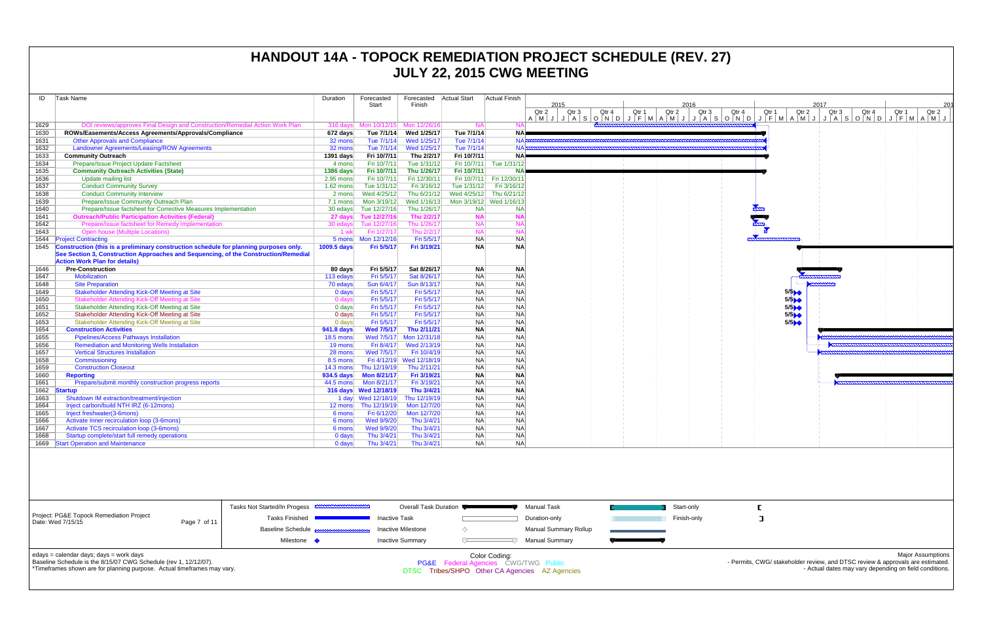| ID   | Task Name                                                                             | Duration           | Forecasted             | Forecasted               | Actual Start | <b>Actual Finish</b>    |       |      |       |                                                                                                              |       |       |                               |
|------|---------------------------------------------------------------------------------------|--------------------|------------------------|--------------------------|--------------|-------------------------|-------|------|-------|--------------------------------------------------------------------------------------------------------------|-------|-------|-------------------------------|
|      |                                                                                       |                    | Start                  | Finish                   |              |                         |       | 2015 |       |                                                                                                              |       |       | 2016                          |
|      |                                                                                       |                    |                        |                          |              |                         | Qtr 2 |      | Qtr 3 | Qtr 4<br>$A \mid M \mid J \mid J \mid A \mid S \mid O \mid N \mid D \mid J \mid F \mid M \mid A \mid M \mid$ | Qtr 1 | Qtr 2 | Qtr <sub>3</sub><br>$J/J/A$ S |
| 1629 | DOI reviews/approves Final Design and Construction/Remedial Action Work Plan          | 316 days           | Mon 10/12/15           | Mon 12/26/16             | <b>NA</b>    | <b>NA</b>               |       |      |       |                                                                                                              |       |       |                               |
| 1630 | ROWs/Easements/Access Agreements/Approvals/Compliance                                 | 672 days           | Tue 7/1/14             | Wed 1/25/17              | Tue 7/1/14   | <b>NA</b>               |       |      |       |                                                                                                              |       |       |                               |
| 1631 | <b>Other Approvals and Compliance</b>                                                 | 32 mons            | Tue 7/1/14             | Wed 1/25/17              | Tue 7/1/14   | NAE                     |       |      |       |                                                                                                              |       |       |                               |
| 1632 | <b>Landowner Agreements/Leasing/ROW Agreements</b>                                    | 32 mons            | Tue 7/1/14             | Wed 1/25/17              | Tue 7/1/14   | NA <sub>B</sub>         |       |      |       |                                                                                                              |       |       |                               |
| 1633 | <b>Community Outreach</b>                                                             | 1391 days          | Fri 10/7/11            | Thu 2/2/17               | Fri 10/7/11  | <b>NAP</b>              |       |      |       |                                                                                                              |       |       |                               |
| 1634 | Prepare/Issue Project Update Factsheet                                                | 4 mons             | Fri 10/7/11            | Tue 1/31/12              | Fri 10/7/11  | Tue 1/31/12             |       |      |       |                                                                                                              |       |       |                               |
| 1635 | <b>Community Outreach Activities (State)</b>                                          | <b>1386 days</b>   | Fri 10/7/11            | Thu 1/26/17              | Fri 10/7/11  | <b>NA</b>               |       |      |       |                                                                                                              |       |       |                               |
| 1636 | <b>Update mailing list</b>                                                            | 2.95 mons          | Fri 10/7/11            | Fri 12/30/11             | Fri 10/7/11  | Fri 12/30/11            |       |      |       |                                                                                                              |       |       |                               |
| 1637 | <b>Conduct Community Survey</b>                                                       | $1.62$ mons        | Tue 1/31/12            | Fri 3/16/12              | Tue 1/31/12  | Fri 3/16/12             |       |      |       |                                                                                                              |       |       |                               |
| 1638 | <b>Conduct Community Interview</b>                                                    | 2 mons             | Wed 4/25/12            | Thu 6/21/12              |              | Wed 4/25/12 Thu 6/21/12 |       |      |       |                                                                                                              |       |       |                               |
| 1639 | Prepare/Issue Community Outreach Plan                                                 | 7.1 mons           | Mon 3/19/12            | Wed 1/16/13              |              | Mon 3/19/12 Wed 1/16/13 |       |      |       |                                                                                                              |       |       |                               |
| 1640 | Prepare/Issue factsheet for Corrective Measures Implementation                        | 30 edays           | Tue 12/27/16           | Thu 1/26/17              | <b>NA</b>    | <b>NA</b>               |       |      |       |                                                                                                              |       |       |                               |
| 1641 | <b>Outreach/Public Participation Activities (Federal)</b>                             | 27 days            | Tue 12/27/16           | Thu 2/2/17               | <b>NA</b>    | <b>NA</b>               |       |      |       |                                                                                                              |       |       |                               |
| 1642 | Prepare/issue factsheet for Remedy Implementation                                     | 30 edays           | Tue 12/27/16           | Thu 1/26/17              | <b>NA</b>    | <b>NA</b>               |       |      |       |                                                                                                              |       |       |                               |
| 1643 | Open house (Multiple Locations)                                                       | 1 wk               | Fri 1/27/17            | Thu 2/2/17               | <b>NA</b>    | <b>NA</b>               |       |      |       |                                                                                                              |       |       |                               |
| 1644 | <b>Project Contracting</b>                                                            |                    |                        | Fri 5/5/17               | <b>NA</b>    | <b>NA</b>               |       |      |       |                                                                                                              |       |       |                               |
| 1645 | Construction (this is a preliminary construction schedule for planning purposes only. | 1009.5 days        | Fri 5/5/17             | Fri 3/19/21              | <b>NA</b>    | <b>NA</b>               |       |      |       |                                                                                                              |       |       |                               |
|      | See Section 3, Construction Approaches and Sequencing, of the Construction/Remedial   |                    |                        |                          |              |                         |       |      |       |                                                                                                              |       |       |                               |
|      | <b>Action Work Plan for details)</b>                                                  |                    |                        |                          |              |                         |       |      |       |                                                                                                              |       |       |                               |
| 1646 | <b>Pre-Construction</b>                                                               | 80 days            | Fri 5/5/17             | Sat 8/26/17              | <b>NA</b>    | <b>NA</b>               |       |      |       |                                                                                                              |       |       |                               |
| 1647 | Mobilization                                                                          | 113 edays          | Fri 5/5/17             | Sat 8/26/17              | <b>NA</b>    | <b>NA</b>               |       |      |       |                                                                                                              |       |       |                               |
| 1648 | <b>Site Preparation</b>                                                               | 70 edays           | Sun 6/4/17             | Sun 8/13/17              | <b>NA</b>    | <b>NA</b>               |       |      |       |                                                                                                              |       |       |                               |
| 1649 | <b>Stakeholder Attending Kick-Off Meeting at Site</b>                                 | $0$ days           | Fri 5/5/17             | Fri 5/5/17               | <b>NA</b>    | <b>NA</b>               |       |      |       |                                                                                                              |       |       |                               |
| 1650 | <b>Stakeholder Attending Kick-Off Meeting at Site</b>                                 | $0$ days           | Fri 5/5/17             | Fri 5/5/17               | <b>NA</b>    | <b>NA</b>               |       |      |       |                                                                                                              |       |       |                               |
| 1651 | Stakeholder Attending Kick-Off Meeting at Site                                        | $0$ days           | Fri 5/5/17             | Fri 5/5/17               | <b>NA</b>    | <b>NA</b>               |       |      |       |                                                                                                              |       |       |                               |
| 1652 | Stakeholder Attending Kick-Off Meeting at Site                                        | $0$ days           | Fri 5/5/17             | Fri 5/5/17               | <b>NA</b>    | <b>NA</b>               |       |      |       |                                                                                                              |       |       |                               |
| 1653 | Stakeholder Attending Kick-Off Meeting at Site                                        | $0$ days           | Fri 5/5/17             | Fri 5/5/17               | <b>NA</b>    | <b>NA</b>               |       |      |       |                                                                                                              |       |       |                               |
| 1654 | <b>Construction Activities</b>                                                        | 941.8 days         | <b>Wed 7/5/17</b>      | Thu 2/11/21              | <b>NA</b>    | <b>NA</b>               |       |      |       |                                                                                                              |       |       |                               |
| 1655 | <b>Pipelines/Access Pathways Installation</b>                                         | <b>18.5 mons</b>   | Wed 7/5/17             | Mon 12/31/18             | <b>NA</b>    | <b>NA</b>               |       |      |       |                                                                                                              |       |       |                               |
| 1656 | <b>Remediation and Monitoring Wells Installation</b>                                  | 19 mons            | Fri 8/4/17             | Wed 2/13/19              | <b>NA</b>    | <b>NA</b>               |       |      |       |                                                                                                              |       |       |                               |
| 1657 | <b>Vertical Structures Installation</b>                                               | 28 mons            | Wed 7/5/17             | Fri 10/4/19              | <b>NA</b>    | <b>NA</b>               |       |      |       |                                                                                                              |       |       |                               |
| 1658 | Commissioning                                                                         | 8.5 mons           |                        | Fri 4/12/19 Wed 12/18/19 | <b>NA</b>    | <b>NA</b>               |       |      |       |                                                                                                              |       |       |                               |
| 1659 | <b>Construction Closeout</b>                                                          | $14.3 \text{ mon}$ | Thu 12/19/19           | Thu 2/11/21              | <b>NA</b>    | <b>NA</b>               |       |      |       |                                                                                                              |       |       |                               |
| 1660 | <b>Reporting</b>                                                                      | 934.5 days         | <b>Mon 8/21/17</b>     | Fri 3/19/21              | <b>NA</b>    | <b>NA</b>               |       |      |       |                                                                                                              |       |       |                               |
| 1661 | Prepare/submit monthly construction progress reports                                  | 44.5 mons          | Mon 8/21/17            | Fri 3/19/21              | <b>NA</b>    | <b>NA</b>               |       |      |       |                                                                                                              |       |       |                               |
| 1662 | <b>Startup</b>                                                                        |                    | 316 days  Wed 12/18/19 | Thu 3/4/21               | <b>NA</b>    | <b>NA</b>               |       |      |       |                                                                                                              |       |       |                               |
| 1663 | Shutdown IM extraction/treatment/injection                                            |                    |                        | Thu 12/19/19             | <b>NA</b>    | <b>NA</b>               |       |      |       |                                                                                                              |       |       |                               |
| 1664 | Inject carbon/build NTH IRZ (6-12mons)                                                |                    | 12 mons Thu 12/19/19   | Mon 12/7/20              | <b>NA</b>    | <b>NA</b>               |       |      |       |                                                                                                              |       |       |                               |
| 1665 | Inject freshwater(3-6mons)                                                            | 6 mons             | Fri 6/12/20            | Mon 12/7/20              | <b>NA</b>    | <b>NA</b>               |       |      |       |                                                                                                              |       |       |                               |
| 1666 | Activate Inner recirculation loop (3-6mons)                                           | 6 mons             | Wed 9/9/20             | Thu 3/4/21               | <b>NA</b>    | <b>NA</b>               |       |      |       |                                                                                                              |       |       |                               |
| 1667 | Activate TCS recirculation loop (3-6mons)                                             | 6 mons             | Wed 9/9/20             | Thu 3/4/21               | <b>NA</b>    | <b>NA</b>               |       |      |       |                                                                                                              |       |       |                               |
| 1668 | Startup complete/start full remedy operations                                         | $0$ days           | Thu 3/4/21             | Thu 3/4/21               | <b>NA</b>    | <b>NA</b>               |       |      |       |                                                                                                              |       |       |                               |
|      | 1669 Start Operation and Maintenance                                                  | $0$ days           | Thu 3/4/21             | Thu 3/4/21               | <b>NA</b>    | <b>NA</b>               |       |      |       |                                                                                                              |       |       |                               |
|      |                                                                                       |                    |                        |                          |              |                         |       |      |       |                                                                                                              |       |       |                               |
|      |                                                                                       |                    |                        |                          |              |                         |       |      |       |                                                                                                              |       |       |                               |



|                                                                                                                                                                                        |              | ,,,,,,,,,,,,,,,,,,,,,,,,,,,<br>Tasks Not Started/In Progess | Overall Task Duration   |                                                                  | Manual Task                                    | Start-only  |
|----------------------------------------------------------------------------------------------------------------------------------------------------------------------------------------|--------------|-------------------------------------------------------------|-------------------------|------------------------------------------------------------------|------------------------------------------------|-------------|
| <b>Project: PG&amp;E Topock Remediation Project</b><br>Date: Wed 7/15/15                                                                                                               | Page 7 of 11 | <b>Tasks Finished</b>                                       | <b>Inactive Task</b>    |                                                                  | Duration-only                                  | Finish-only |
|                                                                                                                                                                                        |              | <b>Baseline Schedule Base of the Baseline Schedule</b>      | Inactive Milestone      |                                                                  | Manual Summary Rollup                          |             |
|                                                                                                                                                                                        |              | Milestone •                                                 | <b>Inactive Summary</b> |                                                                  | <b>Manual Summary</b>                          |             |
| edays = calendar days; days = work days<br>Baseline Schedule is the 8/15/07 CWG Schedule (rev 1, 12/12/07).<br>*Timeframes shown are for planning purpose. Actual timeframes may vary. |              |                                                             |                         | Color Coding:<br><b>PG&amp;E</b> Federal Agencies CWG/TWG Public | DTSC Tribes/SHPO Other CA Agencies AZ Agencies |             |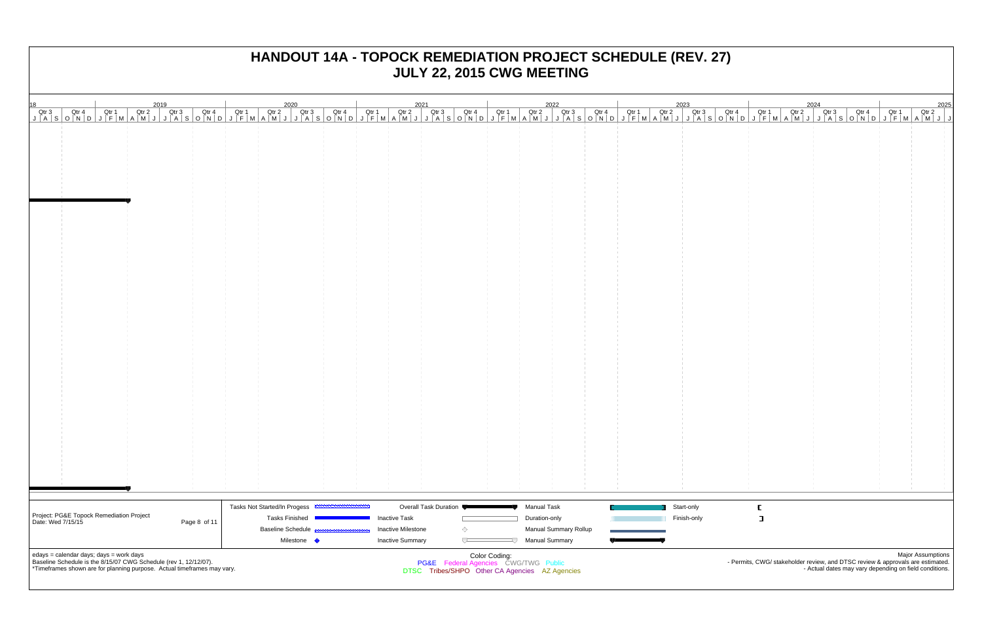|                                                               |                                                                                                                                                                                        |              | Tasks Not Started/In Progess |                           | Overall Task Duration                                                                  | <b>Manual Task</b>          |                              | Start-only  | E |                                                                                                                                          |                          |
|---------------------------------------------------------------|----------------------------------------------------------------------------------------------------------------------------------------------------------------------------------------|--------------|------------------------------|---------------------------|----------------------------------------------------------------------------------------|-----------------------------|------------------------------|-------------|---|------------------------------------------------------------------------------------------------------------------------------------------|--------------------------|
| Project: PG&E Topock Remediation Project<br>Date: Wed 7/15/15 |                                                                                                                                                                                        | Page 8 of 11 | <b>Tasks Finished</b>        | <b>Inactive Task</b>      |                                                                                        | Duration-only               |                              | Finish-only | ा |                                                                                                                                          |                          |
|                                                               |                                                                                                                                                                                        |              | <b>Baseline Schedule</b>     | <b>Inactive Milestone</b> | ◇                                                                                      |                             | <b>Manual Summary Rollup</b> |             |   |                                                                                                                                          |                          |
|                                                               |                                                                                                                                                                                        |              | Milestone •                  | <b>Inactive Summary</b>   | $\overline{ }$                                                                         | <b>Manual Summary</b><br>IJ |                              |             |   |                                                                                                                                          |                          |
|                                                               | edays = calendar days; days = work days<br>Baseline Schedule is the 8/15/07 CWG Schedule (rev 1, 12/12/07).<br>*Timeframes shown are for planning purpose. Actual timeframes may vary. |              |                              |                           | PG&E Federal Agencies CWG/TWG Public<br>DTSC Tribes/SHPO Other CA Agencies AZ Agencies | Color Coding:               |                              |             |   | - Permits, CWG/ stakeholder review, and DTSC review & approvals are estimated.<br>- Actual dates may vary depending on field conditions. | <b>Major Assumptions</b> |
|                                                               |                                                                                                                                                                                        |              |                              |                           |                                                                                        |                             |                              |             |   |                                                                                                                                          |                          |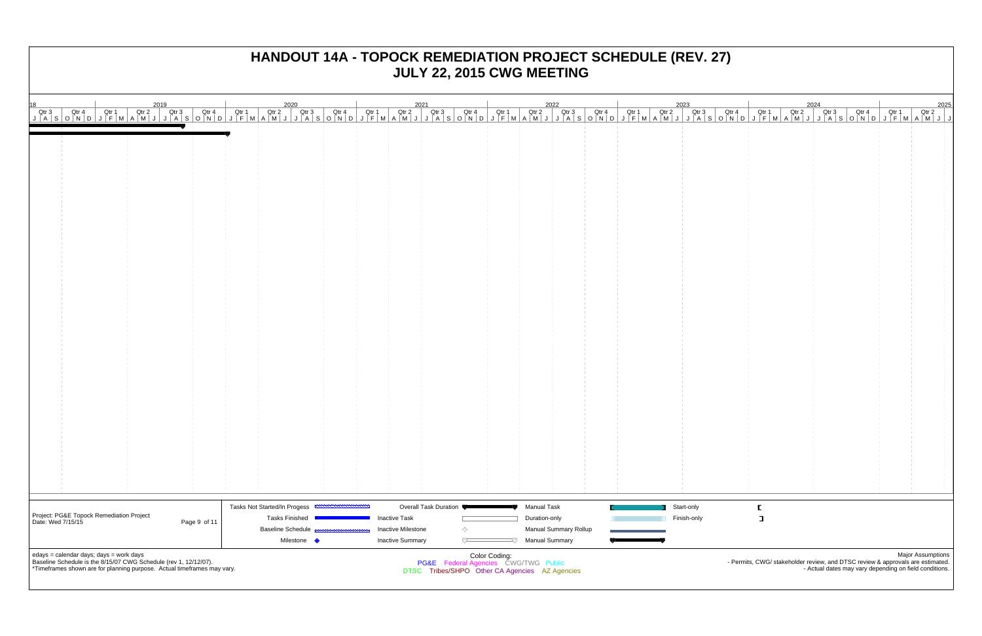| 18 2020 2021 2023 2024 2024 2025<br>  Qtr3 Qtr4 Qtr1 Qtr2 Qtr3 Qtr4 Qtr1 Qtr2 Qtr3 Qtr4 Qtr1 Qtr2 Qtr3 Qtr4 Qtr1 Qtr2 Qtr3 Qtr4 Qtr1 Qtr2 Qtr3 Qtr4 Qtr1 Qtr2 Qtr3 Qtr4 Qtr1 Qtr2 Qtr3 Qtr4 Qtr1 Qtr2 Qtr3 Qtr4 Qtr1 Qtr2 Qtr3 Q |                                                   |                                                   |                                                                                                         |             |          |                                                                                                                                                                      |
|----------------------------------------------------------------------------------------------------------------------------------------------------------------------------------------------------------------------------------|---------------------------------------------------|---------------------------------------------------|---------------------------------------------------------------------------------------------------------|-------------|----------|----------------------------------------------------------------------------------------------------------------------------------------------------------------------|
|                                                                                                                                                                                                                                  |                                                   |                                                   |                                                                                                         |             |          |                                                                                                                                                                      |
|                                                                                                                                                                                                                                  |                                                   |                                                   |                                                                                                         |             |          |                                                                                                                                                                      |
|                                                                                                                                                                                                                                  |                                                   |                                                   |                                                                                                         |             |          |                                                                                                                                                                      |
|                                                                                                                                                                                                                                  |                                                   |                                                   |                                                                                                         |             |          |                                                                                                                                                                      |
|                                                                                                                                                                                                                                  |                                                   |                                                   |                                                                                                         |             |          |                                                                                                                                                                      |
|                                                                                                                                                                                                                                  |                                                   |                                                   |                                                                                                         |             |          |                                                                                                                                                                      |
|                                                                                                                                                                                                                                  |                                                   |                                                   |                                                                                                         |             |          |                                                                                                                                                                      |
|                                                                                                                                                                                                                                  |                                                   |                                                   |                                                                                                         |             |          |                                                                                                                                                                      |
|                                                                                                                                                                                                                                  |                                                   |                                                   |                                                                                                         |             |          |                                                                                                                                                                      |
|                                                                                                                                                                                                                                  |                                                   |                                                   |                                                                                                         |             |          |                                                                                                                                                                      |
|                                                                                                                                                                                                                                  |                                                   |                                                   |                                                                                                         |             |          |                                                                                                                                                                      |
|                                                                                                                                                                                                                                  |                                                   |                                                   |                                                                                                         |             |          |                                                                                                                                                                      |
|                                                                                                                                                                                                                                  |                                                   |                                                   |                                                                                                         |             |          |                                                                                                                                                                      |
|                                                                                                                                                                                                                                  |                                                   |                                                   |                                                                                                         |             |          |                                                                                                                                                                      |
|                                                                                                                                                                                                                                  |                                                   |                                                   |                                                                                                         |             |          |                                                                                                                                                                      |
|                                                                                                                                                                                                                                  |                                                   |                                                   |                                                                                                         |             |          |                                                                                                                                                                      |
|                                                                                                                                                                                                                                  |                                                   |                                                   |                                                                                                         |             |          |                                                                                                                                                                      |
|                                                                                                                                                                                                                                  |                                                   |                                                   |                                                                                                         |             |          |                                                                                                                                                                      |
|                                                                                                                                                                                                                                  |                                                   |                                                   |                                                                                                         |             |          |                                                                                                                                                                      |
|                                                                                                                                                                                                                                  |                                                   |                                                   |                                                                                                         |             |          |                                                                                                                                                                      |
|                                                                                                                                                                                                                                  |                                                   |                                                   |                                                                                                         |             |          |                                                                                                                                                                      |
|                                                                                                                                                                                                                                  |                                                   |                                                   |                                                                                                         |             |          |                                                                                                                                                                      |
|                                                                                                                                                                                                                                  |                                                   |                                                   |                                                                                                         |             |          |                                                                                                                                                                      |
|                                                                                                                                                                                                                                  |                                                   |                                                   |                                                                                                         |             |          |                                                                                                                                                                      |
|                                                                                                                                                                                                                                  |                                                   |                                                   |                                                                                                         |             |          |                                                                                                                                                                      |
|                                                                                                                                                                                                                                  |                                                   |                                                   |                                                                                                         |             |          | - 11                                                                                                                                                                 |
|                                                                                                                                                                                                                                  |                                                   |                                                   |                                                                                                         |             |          |                                                                                                                                                                      |
|                                                                                                                                                                                                                                  |                                                   |                                                   |                                                                                                         |             |          |                                                                                                                                                                      |
|                                                                                                                                                                                                                                  | Tasks Not Started/In Progess                      | Overall Task Duration                             | <b>Manual Task</b>                                                                                      | Start-only  | $\Gamma$ |                                                                                                                                                                      |
| Project: PG&E Topock Remediation Project<br>  Date: Wed 7/15/15<br>Page 9 of 11                                                                                                                                                  | <b>Tasks Finished</b><br><b>Baseline Schedule</b> | <b>Inactive Task</b><br><b>Inactive Milestone</b> | Duration-only                                                                                           | Finish-only | ा        |                                                                                                                                                                      |
|                                                                                                                                                                                                                                  | Milestone <                                       | ◇<br><b>Inactive Summary</b><br>ᄃ                 | Manual Summary Rollup<br><b>Manual Summary</b>                                                          |             |          |                                                                                                                                                                      |
| edays = calendar days; days = work days<br>Baseline Schedule is the 8/15/07 CWG Schedule (rev 1, 12/12/07).<br>*Timeframes shown are for planning purpose. Actual timeframes may vary.                                           |                                                   |                                                   | Color Coding:<br>PG&E Federal Agencies CWG/TWG Public<br>DTSC Tribes/SHPO Other CA Agencies AZ Agencies |             |          | <b>Major Assumptions</b><br>- Permits, CWG/ stakeholder review, and DTSC review & approvals are estimated.<br>- Actual dates may vary depending on field conditions. |